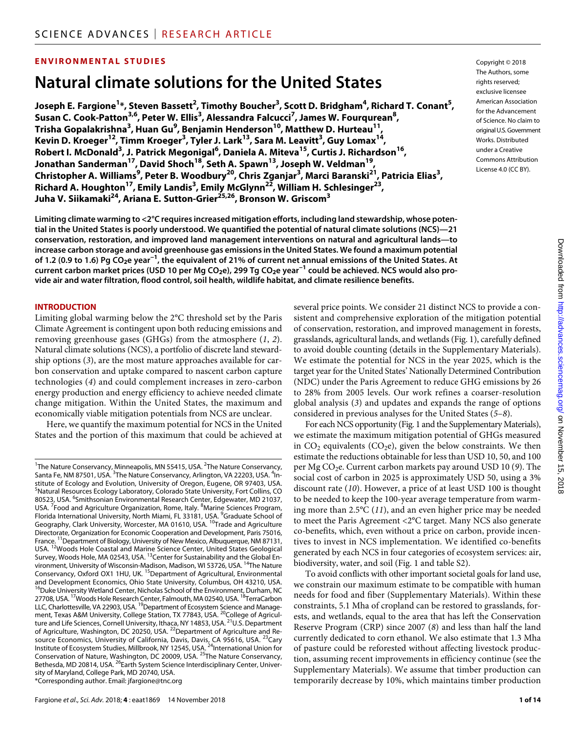# **ENVIRONMENTAL STUDIES**

# **Natural climate solutions for the United States**

<code>Joseph E. Fargione $^{1*}$ , Steven Bassett $^{2}$ , Timothy Boucher $^{3}$ , Scott D. Bridgham $^{4}$ , Richard T. Conant $^{5}$ ,</code> **Susan C. Cook-Patton3,6, Peter W. Ellis3 , Alessandra Falcucci7 , James W. Fourqurean8 , Trisha Gopalakrishna<sup>3</sup> , Huan Gu9 , Benjamin Henderson10, Matthew D. Hurteau11, Kevin D. Kroeger12, Timm Kroeger3 , Tyler J. Lark13, Sara M. Leavitt3 , Guy Lomax14, Robert I. McDonald<sup>3</sup> , J. Patrick Megonigal6 , Daniela A. Miteva15, Curtis J. Richardson16, Jonathan Sanderman17, David Shoch18, Seth A. Spawn13, Joseph W. Veldman19, Christopher A. Williams9 , Peter B. Woodbury20, Chris Zganjar3 , Marci Baranski21, Patricia Elias3 , Richard A. Houghton17, Emily Landis3 , Emily McGlynn22, William H. Schlesinger23, Juha V. Siikamaki24, Ariana E. Sutton-Grier25,26, Bronson W. Griscom3**

The Authors, some rights reserved: exclusive licensee American Association for the Advancement of Science. No claim to original U.S.Government Works. Distributed under a Creative Commons Attribution License 4.0 (CC BY).

Copyright © 2018

**Limiting climate warming to <2°C requires increased mitigation efforts, including land stewardship, whose potential in the United States is poorly understood. We quantified the potential of natural climate solutions (NCS)—21 conservation, restoration, and improved land management interventions on natural and agricultural lands—to increase carbon storage and avoid greenhouse gas emissions in the United States. We found a maximum potential of 1.2 (0.9 to 1.6) Pg CO2e year−1, the equivalent of 21% of current net annual emissions of the United States. At current carbon market prices (USD 10 per Mg CO2e), 299 Tg CO2e year−1 could be achieved. NCS would also provide air and water filtration, flood control, soil health, wildlife habitat, and climate resilience benefits.**

#### **INTRODUCTION**

Limiting global warming below the 2°C threshold set by the Paris Climate Agreement is contingent upon both reducing emissions and removing greenhouse gases (GHGs) from the atmosphere (*1*, *2*). Natural climate solutions (NCS), a portfolio of discrete land stewardship options (*3*), are the most mature approaches available for carbon conservation and uptake compared to nascent carbon capture technologies (*4*) and could complement increases in zero-carbon energy production and energy efficiency to achieve needed climate change mitigation. Within the United States, the maximum and economically viable mitigation potentials from NCS are unclear.

Here, we quantify the maximum potential for NCS in the United States and the portion of this maximum that could be achieved at

Fargione *et al*., *Sci. Adv.* 2018; **4** : eaat1869 14 November 2018

several price points. We consider 21 distinct NCS to provide a consistent and comprehensive exploration of the mitigation potential of conservation, restoration, and improved management in forests, grasslands, agricultural lands, and wetlands (Fig. 1), carefully defined to avoid double counting (details in the Supplementary Materials). We estimate the potential for NCS in the year 2025, which is the target year for the United States' Nationally Determined Contribution (NDC) under the Paris Agreement to reduce GHG emissions by 26 to 28% from 2005 levels. Our work refines a coarser-resolution global analysis (*3*) and updates and expands the range of options considered in previous analyses for the United States (*5*–*8*). For each NCS opportunity (Fig. 1 and the Supplementary Materials),

we estimate the maximum mitigation potential of GHGs measured in  $CO<sub>2</sub>$  equivalents ( $CO<sub>2</sub>e$ ), given the below constraints. We then estimate the reductions obtainable for less than USD 10, 50, and 100 per Mg CO<sub>2</sub>e. Current carbon markets pay around USD 10 (9). The social cost of carbon in 2025 is approximately USD 50, using a 3% discount rate (*10*). However, a price of at least USD 100 is thought to be needed to keep the 100-year average temperature from warming more than 2.5°C (*11*), and an even higher price may be needed to meet the Paris Agreement <2°C target. Many NCS also generate co-benefits, which, even without a price on carbon, provide incentives to invest in NCS implementation. We identified co-benefits generated by each NCS in four categories of ecosystem services: air, biodiversity, water, and soil (Fig. 1 and table S2).

To avoid conflicts with other important societal goals for land use, we constrain our maximum estimate to be compatible with human needs for food and fiber (Supplementary Materials). Within these constraints, 5.1 Mha of cropland can be restored to grasslands, forests, and wetlands, equal to the area that has left the Conservation Reserve Program (CRP) since 2007 (*8*) and less than half the land currently dedicated to corn ethanol. We also estimate that 1.3 Mha of pasture could be reforested without affecting livestock production, assuming recent improvements in efficiency continue (see the Supplementary Materials). We assume that timber production can temporarily decrease by 10%, which maintains timber production

<sup>&</sup>lt;sup>1</sup>The Nature Conservancy, Minneapolis, MN 55415, USA.<sup>2</sup>The Nature Conservancy, Santa Fe, NM 87501, USA. <sup>3</sup>The Nature Conservancy, Arlington, VA 22203, USA. <sup>4</sup>Institute of Ecology and Evolution, University of Oregon, Eugene, OR 97403, USA. 5 Natural Resources Ecology Laboratory, Colorado State University, Fort Collins, CO 80523, USA. <sup>6</sup>Smithsonian Environmental Research Center, Edgewater, MD 21037, USA. <sup>7</sup> Food and Agriculture Organization, Rome, Italy. <sup>8</sup> Marine Sciences Program, Florida International University, North Miami, FL 33181, USA. <sup>9</sup> Graduate School of Geography, Clark University, Worcester, MA 01610, USA. <sup>10</sup>Trade and Agriculture Directorate, Organization for Economic Cooperation and Development, Paris 75016, France. 11Department of Biology, University of New Mexico, Albuquerque, NM 87131, USA. 12Woods Hole Coastal and Marine Science Center, United States Geological Survey, Woods Hole, MA 02543, USA. <sup>13</sup>Center for Sustainability and the Global Environment, University of Wisconsin-Madison, Madison, WI 53726, USA.<sup>14</sup>The Nature Conservancy, Oxford OX1 1HU, UK. <sup>15</sup>Department of Agricultural, Environmental and Development Economics, Ohio State University, Columbus, OH 43210, USA.<br><sup>16</sup>Duke Unive<u>r</u>sity Wetland Center, Nicholas School of the Environment<u>,</u> Durham, NC 27708, USA. <sup>17</sup> Woods Hole Research Center, Falmouth, MA 02540, USA. <sup>18</sup>TerraCarbon LLC, Charlottesville, VA 22903, USA. <sup>19</sup>Department of Ecosystem Science and Management, Texas A&M University, College Station, TX 77843, USA. <sup>20</sup>College of Agriculture and Life Sciences, Cornell University, Ithaca, NY 14853, USA.<sup>21</sup>U.S. Department of Agriculture, Washington, DC 20250, USA. <sup>22</sup>Department of Agriculture and Resource Economics, University of California, Davis, Davis, CA 95616, USA. <sup>23</sup>Cary Institute of Ecosystem Studies, Millbrook, NY 12545, USA. <sup>24</sup>International Union for Conservation of Nature, Washington, DC 20009, USA. 25The Nature Conservancy, Bethesda, MD 20814, USA. <sup>26</sup>Earth System Science Interdisciplinary Center, University of Maryland, College Park, MD 20740, USA. \*Corresponding author. Email: jfargione@tnc.org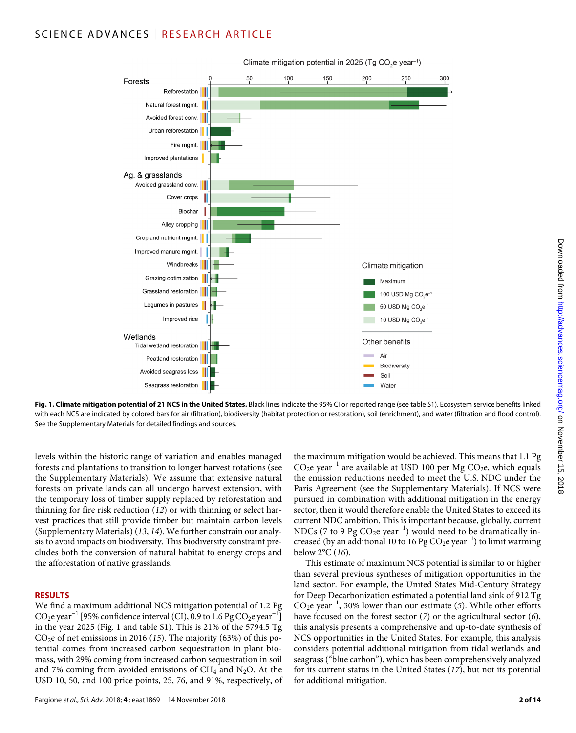

**Fig. 1. Climate mitigation potential of 21 NCS in the United States.** Black lines indicate the 95% CI or reported range (see table S1). Ecosystem service benefits linked with each NCS are indicated by colored bars for air (filtration), biodiversity (habitat protection or restoration), soil (enrichment), and water (filtration and flood control). See the Supplementary Materials for detailed findings and sources.

levels within the historic range of variation and enables managed forests and plantations to transition to longer harvest rotations (see the Supplementary Materials). We assume that extensive natural forests on private lands can all undergo harvest extension, with the temporary loss of timber supply replaced by reforestation and thinning for fire risk reduction (*12*) or with thinning or select harvest practices that still provide timber but maintain carbon levels (Supplementary Materials) (*13*, *14*). We further constrain our analysis to avoid impacts on biodiversity. This biodiversity constraint precludes both the conversion of natural habitat to energy crops and the afforestation of native grasslands.

#### **RESULTS**

We find a maximum additional NCS mitigation potential of 1.2 Pg  $CO_2$ e year<sup>-1</sup> [95% confidence interval (CI), 0.9 to 1.6 Pg  $CO_2$ e year<sup>-1</sup>] in the year 2025 (Fig. 1 and table S1). This is 21% of the 5794.5 Tg  $CO<sub>2</sub>e$  of net emissions in 2016 (15). The majority (63%) of this potential comes from increased carbon sequestration in plant biomass, with 29% coming from increased carbon sequestration in soil and 7% coming from avoided emissions of  $CH_4$  and N<sub>2</sub>O. At the USD 10, 50, and 100 price points, 25, 76, and 91%, respectively, of

the maximum mitigation would be achieved. This means that 1.1 Pg  $CO<sub>2</sub>e year<sup>-1</sup>$  are available at USD 100 per Mg  $CO<sub>2</sub>e$ , which equals the emission reductions needed to meet the U.S. NDC under the Paris Agreement (see the Supplementary Materials). If NCS were pursued in combination with additional mitigation in the energy sector, then it would therefore enable the United States to exceed its current NDC ambition. This is important because, globally, current NDCs (7 to 9 Pg  $CO<sub>2</sub>e year<sup>-1</sup>$ ) would need to be dramatically increased (by an additional 10 to 16 Pg CO<sub>2</sub>e year<sup>-1</sup>) to limit warming below 2°C (*16*).

This estimate of maximum NCS potential is similar to or higher than several previous syntheses of mitigation opportunities in the land sector. For example, the United States Mid-Century Strategy for Deep Decarbonization estimated a potential land sink of 912 Tg CO2e year−1, 30% lower than our estimate (*5*). While other efforts have focused on the forest sector (*7*) or the agricultural sector (*6*), this analysis presents a comprehensive and up-to-date synthesis of NCS opportunities in the United States. For example, this analysis considers potential additional mitigation from tidal wetlands and seagrass ("blue carbon"), which has been comprehensively analyzed for its current status in the United States (*17*), but not its potential for additional mitigation.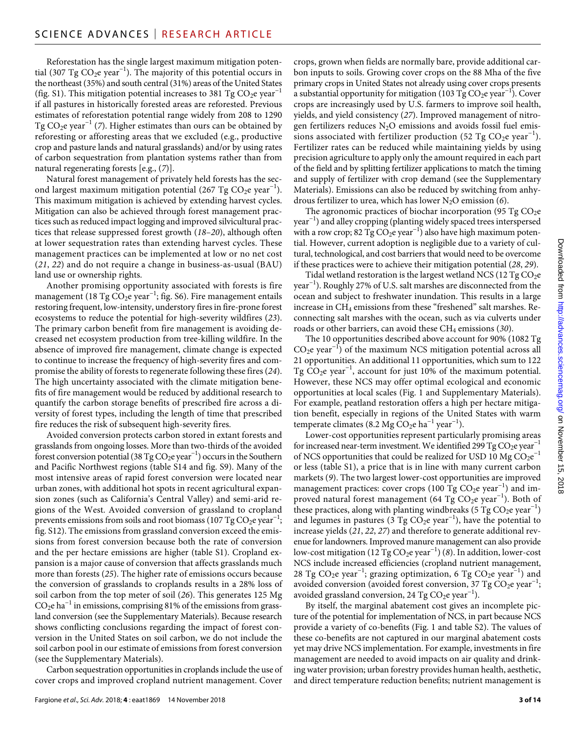Reforestation has the single largest maximum mitigation potential (307 Tg  $CO<sub>2</sub>e year<sup>-1</sup>$ ). The majority of this potential occurs in the northeast (35%) and south central (31%) areas of the United States (fig. S1). This mitigation potential increases to 381 Tg  $CO<sub>2</sub>e year<sup>-1</sup>$ if all pastures in historically forested areas are reforested. Previous estimates of reforestation potential range widely from 208 to 1290 Tg CO<sub>2</sub>e year<sup>-1</sup> (7). Higher estimates than ours can be obtained by reforesting or afforesting areas that we excluded (e.g., productive crop and pasture lands and natural grasslands) and/or by using rates of carbon sequestration from plantation systems rather than from natural regenerating forests [e.g., (*7*)].

Natural forest management of privately held forests has the second largest maximum mitigation potential (267 Tg  $CO<sub>2</sub>e year<sup>-1</sup>$ ). This maximum mitigation is achieved by extending harvest cycles. Mitigation can also be achieved through forest management practices such as reduced impact logging and improved silvicultural practices that release suppressed forest growth (*18*–*20*), although often at lower sequestration rates than extending harvest cycles. These management practices can be implemented at low or no net cost (*21*, *22*) and do not require a change in business-as-usual (BAU) land use or ownership rights.

Another promising opportunity associated with forests is fire management (18 Tg  $CO<sub>2</sub>e year<sup>-1</sup>$ ; fig. S6). Fire management entails restoring frequent, low-intensity, understory fires in fire-prone forest ecosystems to reduce the potential for high-severity wildfires (*23*). The primary carbon benefit from fire management is avoiding decreased net ecosystem production from tree-killing wildfire. In the absence of improved fire management, climate change is expected to continue to increase the frequency of high-severity fires and compromise the ability of forests to regenerate following these fires (*24*). The high uncertainty associated with the climate mitigation benefits of fire management would be reduced by additional research to quantify the carbon storage benefits of prescribed fire across a diversity of forest types, including the length of time that prescribed fire reduces the risk of subsequent high-severity fires.

Avoided conversion protects carbon stored in extant forests and grasslands from ongoing losses. More than two-thirds of the avoided forest conversion potential (38 Tg CO<sub>2</sub>e year<sup>-1</sup>) occurs in the Southern and Pacific Northwest regions (table S14 and fig. S9). Many of the most intensive areas of rapid forest conversion were located near urban zones, with additional hot spots in recent agricultural expansion zones (such as California's Central Valley) and semi-arid regions of the West. Avoided conversion of grassland to cropland prevents emissions from soils and root biomass (107 Tg  $CO<sub>2</sub>e year<sup>-1</sup>$ ; fig. S12). The emissions from grassland conversion exceed the emissions from forest conversion because both the rate of conversion and the per hectare emissions are higher (table S1). Cropland expansion is a major cause of conversion that affects grasslands much more than forests (*25*). The higher rate of emissions occurs because the conversion of grasslands to croplands results in a 28% loss of soil carbon from the top meter of soil (*26*). This generates 125 Mg  $CO<sub>2</sub>e$  ha<sup>-1</sup> in emissions, comprising 81% of the emissions from grassland conversion (see the Supplementary Materials). Because research shows conflicting conclusions regarding the impact of forest conversion in the United States on soil carbon, we do not include the soil carbon pool in our estimate of emissions from forest conversion (see the Supplementary Materials).

Carbon sequestration opportunities in croplands include the use of cover crops and improved cropland nutrient management. Cover

Fargione *et al*., *Sci. Adv.* 2018; **4** : eaat1869 14 November 2018

crops, grown when fields are normally bare, provide additional carbon inputs to soils. Growing cover crops on the 88 Mha of the five primary crops in United States not already using cover crops presents a substantial opportunity for mitigation (103 Tg  $CO_2$ e year<sup>-1</sup>). Cover crops are increasingly used by U.S. farmers to improve soil health, yields, and yield consistency (*27*). Improved management of nitrogen fertilizers reduces  $N_2O$  emissions and avoids fossil fuel emissions associated with fertilizer production (52 Tg  $CO<sub>2</sub>e$  year<sup>-1</sup>). Fertilizer rates can be reduced while maintaining yields by using precision agriculture to apply only the amount required in each part of the field and by splitting fertilizer applications to match the timing and supply of fertilizer with crop demand (see the Supplementary Materials). Emissions can also be reduced by switching from anhydrous fertilizer to urea, which has lower N2O emission (*6*).

The agronomic practices of biochar incorporation (95 Tg  $CO<sub>2</sub>e$ year−1) and alley cropping (planting widely spaced trees interspersed with a row crop; 82 Tg CO<sub>2</sub>e year<sup>-1</sup>) also have high maximum potential. However, current adoption is negligible due to a variety of cultural, technological, and cost barriers that would need to be overcome if these practices were to achieve their mitigation potential (*28*, *29*).

Tidal wetland restoration is the largest wetland NCS (12 Tg  $CO<sub>2</sub>e$ year−1). Roughly 27% of U.S. salt marshes are disconnected from the ocean and subject to freshwater inundation. This results in a large increase in CH<sub>4</sub> emissions from these "freshened" salt marshes. Reconnecting salt marshes with the ocean, such as via culverts under roads or other barriers, can avoid these CH<sub>4</sub> emissions (30).

The 10 opportunities described above account for 90% (1082 Tg  $CO<sub>2</sub>e year<sup>-1</sup>$ ) of the maximum NCS mitigation potential across all 21 opportunities. An additional 11 opportunities, which sum to 122 Tg CO<sub>2</sub>e year<sup>-1</sup>, account for just 10% of the maximum potential. However, these NCS may offer optimal ecological and economic opportunities at local scales (Fig. 1 and Supplementary Materials). For example, peatland restoration offers a high per hectare mitigation benefit, especially in regions of the United States with warm temperate climates (8.2 Mg CO<sub>2</sub>e ha<sup>-1</sup> year<sup>-1</sup>).

Lower-cost opportunities represent particularly promising areas for increased near-term investment. We identified 299 Tg  $CO<sub>2</sub>e$  year<sup>-1</sup> of NCS opportunities that could be realized for USD 10 Mg  $\rm CO_2e^{-1}$ or less (table S1), a price that is in line with many current carbon markets (*9*). The two largest lower-cost opportunities are improved management practices: cover crops (100 Tg CO<sub>2</sub>e year<sup>-1</sup>) and improved natural forest management (64 Tg CO<sub>2</sub>e year<sup>-1</sup>). Both of these practices, along with planting windbreaks (5 Tg  $CO<sub>2</sub>e year<sup>-1</sup>$ ) and legumes in pastures (3 Tg CO<sub>2</sub>e year<sup>-1</sup>), have the potential to increase yields (*21*, *22*, *27*) and therefore to generate additional revenue for landowners. Improved manure management can also provide low-cost mitigation (12 Tg CO<sub>2</sub>e year<sup>-1</sup>) (*8*). In addition, lower-cost NCS include increased efficiencies (cropland nutrient management, 28 Tg CO<sub>2</sub>e year<sup>-1</sup>; grazing optimization, 6 Tg CO<sub>2</sub>e year<sup>-1</sup>) and avoided conversion (avoided forest conversion, 37 Tg CO<sub>2</sub>e year<sup>-1</sup>; avoided grassland conversion, 24 Tg  $CO<sub>2</sub>e year<sup>-1</sup>$ ).

By itself, the marginal abatement cost gives an incomplete picture of the potential for implementation of NCS, in part because NCS provide a variety of co-benefits (Fig. 1 and table S2). The values of these co-benefits are not captured in our marginal abatement costs yet may drive NCS implementation. For example, investments in fire management are needed to avoid impacts on air quality and drinking water provision; urban forestry provides human health, aesthetic, and direct temperature reduction benefits; nutrient management is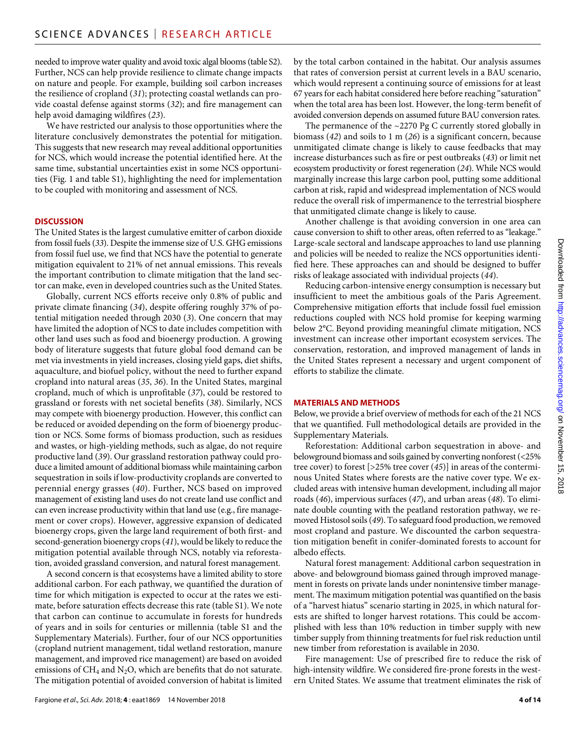needed to improve water quality and avoid toxic algal blooms (table S2). Further, NCS can help provide resilience to climate change impacts on nature and people. For example, building soil carbon increases the resilience of cropland (*31*); protecting coastal wetlands can provide coastal defense against storms (*32*); and fire management can help avoid damaging wildfires (*23*).

We have restricted our analysis to those opportunities where the literature conclusively demonstrates the potential for mitigation. This suggests that new research may reveal additional opportunities for NCS, which would increase the potential identified here. At the same time, substantial uncertainties exist in some NCS opportunities (Fig. 1 and table S1), highlighting the need for implementation to be coupled with monitoring and assessment of NCS.

## **DISCUSSION**

The United States is the largest cumulative emitter of carbon dioxide from fossil fuels (*33*). Despite the immense size of U.S. GHG emissions from fossil fuel use, we find that NCS have the potential to generate mitigation equivalent to 21% of net annual emissions. This reveals the important contribution to climate mitigation that the land sector can make, even in developed countries such as the United States.

Globally, current NCS efforts receive only 0.8% of public and private climate financing (*34*), despite offering roughly 37% of potential mitigation needed through 2030 (*3*). One concern that may have limited the adoption of NCS to date includes competition with other land uses such as food and bioenergy production. A growing body of literature suggests that future global food demand can be met via investments in yield increases, closing yield gaps, diet shifts, aquaculture, and biofuel policy, without the need to further expand cropland into natural areas (*35*, *36*). In the United States, marginal cropland, much of which is unprofitable (*37*), could be restored to grassland or forests with net societal benefits (*38*). Similarly, NCS may compete with bioenergy production. However, this conflict can be reduced or avoided depending on the form of bioenergy production or NCS. Some forms of biomass production, such as residues and wastes, or high-yielding methods, such as algae, do not require productive land (*39*). Our grassland restoration pathway could produce a limited amount of additional biomass while maintaining carbon sequestration in soils if low-productivity croplands are converted to perennial energy grasses (*40*). Further, NCS based on improved management of existing land uses do not create land use conflict and can even increase productivity within that land use (e.g., fire management or cover crops). However, aggressive expansion of dedicated bioenergy crops, given the large land requirement of both first- and second-generation bioenergy crops (*41*), would be likely to reduce the mitigation potential available through NCS, notably via reforestation, avoided grassland conversion, and natural forest management.

A second concern is that ecosystems have a limited ability to store additional carbon. For each pathway, we quantified the duration of time for which mitigation is expected to occur at the rates we estimate, before saturation effects decrease this rate (table S1). We note that carbon can continue to accumulate in forests for hundreds of years and in soils for centuries or millennia (table S1 and the Supplementary Materials). Further, four of our NCS opportunities (cropland nutrient management, tidal wetland restoration, manure management, and improved rice management) are based on avoided emissions of  $CH_4$  and  $N_2O$ , which are benefits that do not saturate. The mitigation potential of avoided conversion of habitat is limited

by the total carbon contained in the habitat. Our analysis assumes that rates of conversion persist at current levels in a BAU scenario, which would represent a continuing source of emissions for at least 67 years for each habitat considered here before reaching "saturation" when the total area has been lost. However, the long-term benefit of avoided conversion depends on assumed future BAU conversion rates.

The permanence of the ~2270 Pg C currently stored globally in biomass (*42*) and soils to 1 m (*26*) is a significant concern, because unmitigated climate change is likely to cause feedbacks that may increase disturbances such as fire or pest outbreaks (*43*) or limit net ecosystem productivity or forest regeneration (*24*). While NCS would marginally increase this large carbon pool, putting some additional carbon at risk, rapid and widespread implementation of NCS would reduce the overall risk of impermanence to the terrestrial biosphere that unmitigated climate change is likely to cause.

Another challenge is that avoiding conversion in one area can cause conversion to shift to other areas, often referred to as "leakage." Large-scale sectoral and landscape approaches to land use planning and policies will be needed to realize the NCS opportunities identified here. These approaches can and should be designed to buffer risks of leakage associated with individual projects (*44*).

Reducing carbon-intensive energy consumption is necessary but insufficient to meet the ambitious goals of the Paris Agreement. Comprehensive mitigation efforts that include fossil fuel emission reductions coupled with NCS hold promise for keeping warming below 2°C. Beyond providing meaningful climate mitigation, NCS investment can increase other important ecosystem services. The conservation, restoration, and improved management of lands in the United States represent a necessary and urgent component of efforts to stabilize the climate.

#### **MATERIALS AND METHODS**

Below, we provide a brief overview of methods for each of the 21 NCS that we quantified. Full methodological details are provided in the Supplementary Materials.

Reforestation: Additional carbon sequestration in above- and belowground biomass and soils gained by converting nonforest (<25% tree cover) to forest [>25% tree cover (*45*)] in areas of the conterminous United States where forests are the native cover type. We excluded areas with intensive human development, including all major roads (*46*), impervious surfaces (*47*), and urban areas (*48*). To eliminate double counting with the peatland restoration pathway, we removed Histosol soils (*49*). To safeguard food production, we removed most cropland and pasture. We discounted the carbon sequestration mitigation benefit in conifer-dominated forests to account for albedo effects.

Natural forest management: Additional carbon sequestration in above- and belowground biomass gained through improved management in forests on private lands under nonintensive timber management. The maximum mitigation potential was quantified on the basis of a "harvest hiatus" scenario starting in 2025, in which natural forests are shifted to longer harvest rotations. This could be accomplished with less than 10% reduction in timber supply with new timber supply from thinning treatments for fuel risk reduction until new timber from reforestation is available in 2030.

Fire management: Use of prescribed fire to reduce the risk of high-intensity wildfire. We considered fire-prone forests in the western United States. We assume that treatment eliminates the risk of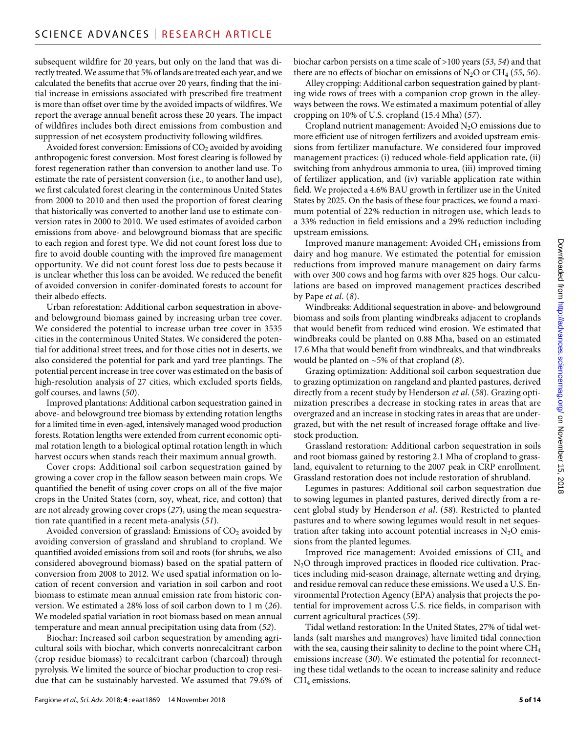subsequent wildfire for 20 years, but only on the land that was directly treated. We assume that 5% of lands are treated each year, and we calculated the benefits that accrue over 20 years, finding that the initial increase in emissions associated with prescribed fire treatment is more than offset over time by the avoided impacts of wildfires. We report the average annual benefit across these 20 years. The impact of wildfires includes both direct emissions from combustion and suppression of net ecosystem productivity following wildfires.

Avoided forest conversion: Emissions of  $CO<sub>2</sub>$  avoided by avoiding anthropogenic forest conversion. Most forest clearing is followed by forest regeneration rather than conversion to another land use. To estimate the rate of persistent conversion (i.e., to another land use), we first calculated forest clearing in the conterminous United States from 2000 to 2010 and then used the proportion of forest clearing that historically was converted to another land use to estimate conversion rates in 2000 to 2010. We used estimates of avoided carbon emissions from above- and belowground biomass that are specific to each region and forest type. We did not count forest loss due to fire to avoid double counting with the improved fire management opportunity. We did not count forest loss due to pests because it is unclear whether this loss can be avoided. We reduced the benefit of avoided conversion in conifer-dominated forests to account for their albedo effects.

Urban reforestation: Additional carbon sequestration in aboveand belowground biomass gained by increasing urban tree cover. We considered the potential to increase urban tree cover in 3535 cities in the conterminous United States. We considered the potential for additional street trees, and for those cities not in deserts, we also considered the potential for park and yard tree plantings. The potential percent increase in tree cover was estimated on the basis of high-resolution analysis of 27 cities, which excluded sports fields, golf courses, and lawns (*50*).

Improved plantations: Additional carbon sequestration gained in above- and belowground tree biomass by extending rotation lengths for a limited time in even-aged, intensively managed wood production forests. Rotation lengths were extended from current economic optimal rotation length to a biological optimal rotation length in which harvest occurs when stands reach their maximum annual growth.

Cover crops: Additional soil carbon sequestration gained by growing a cover crop in the fallow season between main crops. We quantified the benefit of using cover crops on all of the five major crops in the United States (corn, soy, wheat, rice, and cotton) that are not already growing cover crops (*27*), using the mean sequestration rate quantified in a recent meta-analysis (*51*).

Avoided conversion of grassland: Emissions of  $CO<sub>2</sub>$  avoided by avoiding conversion of grassland and shrubland to cropland. We quantified avoided emissions from soil and roots (for shrubs, we also considered aboveground biomass) based on the spatial pattern of conversion from 2008 to 2012. We used spatial information on location of recent conversion and variation in soil carbon and root biomass to estimate mean annual emission rate from historic conversion. We estimated a 28% loss of soil carbon down to 1 m (*26*). We modeled spatial variation in root biomass based on mean annual temperature and mean annual precipitation using data from (*52*).

Biochar: Increased soil carbon sequestration by amending agricultural soils with biochar, which converts nonrecalcitrant carbon (crop residue biomass) to recalcitrant carbon (charcoal) through pyrolysis. We limited the source of biochar production to crop residue that can be sustainably harvested. We assumed that 79.6% of biochar carbon persists on a time scale of >100 years (*53*, *54*) and that there are no effects of biochar on emissions of  $N_2O$  or  $CH_4$  (55, 56).

Alley cropping: Additional carbon sequestration gained by planting wide rows of trees with a companion crop grown in the alleyways between the rows. We estimated a maximum potential of alley cropping on 10% of U.S. cropland (15.4 Mha) (*57*).

Cropland nutrient management: Avoided  $N_2O$  emissions due to more efficient use of nitrogen fertilizers and avoided upstream emissions from fertilizer manufacture. We considered four improved management practices: (i) reduced whole-field application rate, (ii) switching from anhydrous ammonia to urea, (iii) improved timing of fertilizer application, and (iv) variable application rate within field. We projected a 4.6% BAU growth in fertilizer use in the United States by 2025. On the basis of these four practices, we found a maximum potential of 22% reduction in nitrogen use, which leads to a 33% reduction in field emissions and a 29% reduction including upstream emissions.

Improved manure management: Avoided CH<sub>4</sub> emissions from dairy and hog manure. We estimated the potential for emission reductions from improved manure management on dairy farms with over 300 cows and hog farms with over 825 hogs. Our calculations are based on improved management practices described by Pape *et al*. (*8*).

Windbreaks: Additional sequestration in above- and belowground biomass and soils from planting windbreaks adjacent to croplands that would benefit from reduced wind erosion. We estimated that windbreaks could be planted on 0.88 Mha, based on an estimated 17.6 Mha that would benefit from windbreaks, and that windbreaks would be planted on ~5% of that cropland (*8*).

Grazing optimization: Additional soil carbon sequestration due to grazing optimization on rangeland and planted pastures, derived directly from a recent study by Henderson *et al*. (*58*). Grazing optimization prescribes a decrease in stocking rates in areas that are overgrazed and an increase in stocking rates in areas that are undergrazed, but with the net result of increased forage offtake and livestock production.

Grassland restoration: Additional carbon sequestration in soils and root biomass gained by restoring 2.1 Mha of cropland to grassland, equivalent to returning to the 2007 peak in CRP enrollment. Grassland restoration does not include restoration of shrubland.

Legumes in pastures: Additional soil carbon sequestration due to sowing legumes in planted pastures, derived directly from a recent global study by Henderson *et al*. (*58*). Restricted to planted pastures and to where sowing legumes would result in net sequestration after taking into account potential increases in  $N_2O$  emissions from the planted legumes.

Improved rice management: Avoided emissions of  $CH<sub>4</sub>$  and N2O through improved practices in flooded rice cultivation. Practices including mid-season drainage, alternate wetting and drying, and residue removal can reduce these emissions. We used a U.S. Environmental Protection Agency (EPA) analysis that projects the potential for improvement across U.S. rice fields, in comparison with current agricultural practices (*59*).

Tidal wetland restoration: In the United States, 27% of tidal wetlands (salt marshes and mangroves) have limited tidal connection with the sea, causing their salinity to decline to the point where  $CH_4$ emissions increase (*30*). We estimated the potential for reconnecting these tidal wetlands to the ocean to increase salinity and reduce  $CH<sub>4</sub>$  emissions.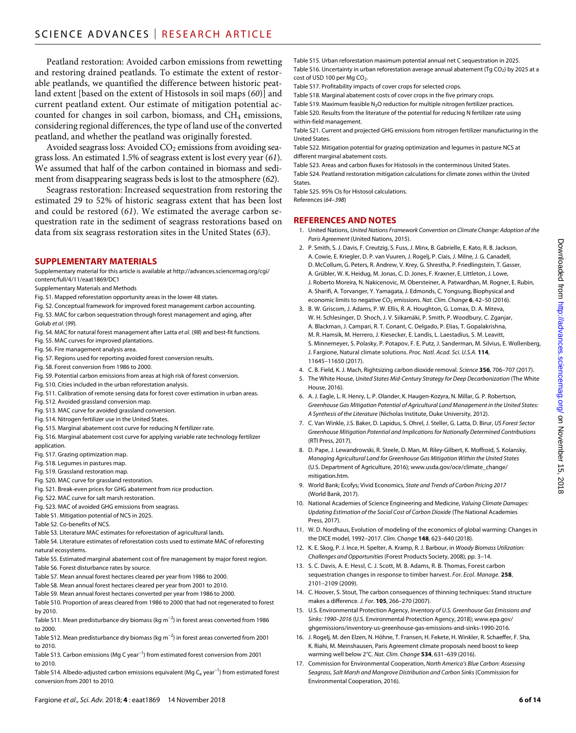Peatland restoration: Avoided carbon emissions from rewetting and restoring drained peatlands. To estimate the extent of restorable peatlands, we quantified the difference between historic peatland extent [based on the extent of Histosols in soil maps (*60*)] and current peatland extent. Our estimate of mitigation potential accounted for changes in soil carbon, biomass, and CH<sub>4</sub> emissions, considering regional differences, the type of land use of the converted peatland, and whether the peatland was originally forested.

Avoided seagrass loss: Avoided CO<sub>2</sub> emissions from avoiding seagrass loss. An estimated 1.5% of seagrass extent is lost every year (*61*). We assumed that half of the carbon contained in biomass and sediment from disappearing seagrass beds is lost to the atmosphere (*62*).

Seagrass restoration: Increased sequestration from restoring the estimated 29 to 52% of historic seagrass extent that has been lost and could be restored (*61*). We estimated the average carbon sequestration rate in the sediment of seagrass restorations based on data from six seagrass restoration sites in the United States (*63*).

## **SUPPLEMENTARY MATERIALS**

Supplementary material for this article is available at [http://advances.sciencemag.org/cgi/](http://advances.sciencemag.org/cgi/content/full/4/11/eaat1869/DC1) [content/full/4/11/eaat1869/DC1](http://advances.sciencemag.org/cgi/content/full/4/11/eaat1869/DC1)

- Supplementary Materials and Methods
- Fig. S1. Mapped reforestation opportunity areas in the lower 48 states.
- Fig. S2. Conceptual framework for improved forest management carbon accounting.
- Fig. S3. MAC for carbon sequestration through forest management and aging, after Golub *et al*. (*99*).
- Fig. S4. MAC for natural forest management after Latta *et al*. (*98*) and best-fit functions.
- Fig. S5. MAC curves for improved plantations.
- Fig. S6. Fire management analysis area.
- Fig. S7. Regions used for reporting avoided forest conversion results.
- Fig. S8. Forest conversion from 1986 to 2000.
- Fig. S9. Potential carbon emissions from areas at high risk of forest conversion.
- Fig. S10. Cities included in the urban reforestation analysis.
- Fig. S11. Calibration of remote sensing data for forest cover estimation in urban areas.
- Fig. S12. Avoided grassland conversion map.
- Fig. S13. MAC curve for avoided grassland conversion.
- Fig. S14. Nitrogen fertilizer use in the United States.
- Fig. S15. Marginal abatement cost curve for reducing N fertilizer rate.
- Fig. S16. Marginal abatement cost curve for applying variable rate technology fertilizer
- application.
- Fig. S17. Grazing optimization map.
- Fig. S18. Legumes in pastures map.
- Fig. S19. Grassland restoration map.
- Fig. S20. MAC curve for grassland restoration.
- Fig. S21. Break-even prices for GHG abatement from rice production.
- Fig. S22. MAC curve for salt marsh restoration.
- Fig. S23. MAC of avoided GHG emissions from seagrass.
- Table S1. Mitigation potential of NCS in 2025.
- Table S2. Co-benefits of NCS.
- Table S3. Literature MAC estimates for reforestation of agricultural lands.
- Table S4. Literature estimates of reforestation costs used to estimate MAC of reforesting natural ecosystems.
- Table S5. Estimated marginal abatement cost of fire management by major forest region. Table S6. Forest disturbance rates by source.
- Table S7. Mean annual forest hectares cleared per year from 1986 to 2000.
- Table S8. Mean annual forest hectares cleared per year from 2001 to 2010.
- Table S9. Mean annual forest hectares converted per year from 1986 to 2000.
- Table S10. Proportion of areas cleared from 1986 to 2000 that had not regenerated to forest by 2010.
- Table S11. Mean predisturbance dry biomass (kg m<sup>-2</sup>) in forest areas converted from 1986 to 2000.
- Table S12. Mean predisturbance dry biomass (kg m−2) in forest areas converted from 2001 to 2010.
- Table S13. Carbon emissions (Mg C year<sup>-1</sup>) from estimated forest conversion from 2001 to 2010.
- Table S14. Albedo-adjusted carbon emissions equivalent (Mg Ce year<sup>-1</sup>) from estimated forest conversion from 2001 to 2010.

Table S15. Urban reforestation maximum potential annual net C sequestration in 2025. Table S16. Uncertainty in urban reforestation average annual abatement (Tg CO<sub>2</sub>) by 2025 at a cost of USD 100 per Mg CO<sub>2</sub>.

Table S17. Profitability impacts of cover crops for selected crops.

Table S18. Marginal abatement costs of cover crops in the five primary crops.

Table S19. Maximum feasible  $N_2O$  reduction for multiple nitrogen fertilizer practices. Table S20. Results from the literature of the potential for reducing N fertilizer rate using within-field management.

Table S21. Current and projected GHG emissions from nitrogen fertilizer manufacturing in the United States.

Table S22. Mitigation potential for grazing optimization and legumes in pasture NCS at different marginal abatement costs.

Table S23. Areas and carbon fluxes for Histosols in the conterminous United States.

Table S24. Peatland restoration mitigation calculations for climate zones within the United States.

Table S25. 95% CIs for Histosol calculations.

References (*64*–*398*)

#### **REFERENCES AND NOTES**

- 1. United Nations, *United Nations Framework Convention on Climate Change: Adoption of the Paris Agreement* (United Nations, 2015).
- 2. P. Smith, S. J. Davis, F. Creutzig, S. Fuss, J. Minx, B. Gabrielle, E. Kato, R. B. Jackson, A. Cowie, E. Kriegler, D. P. van Vuuren, J. Rogelj, P. Ciais, J. Milne, J. G. Canadell, D. McCollum, G. Peters, R. Andrew, V. Krey, G. Shrestha, P. Friedlingstein, T. Gasser, A. Grübler, W. K. Heidug, M. Jonas, C. D. Jones, F. Kraxner, E. Littleton, J. Lowe, J. Roberto Moreira, N. Nakicenovic, M. Obersteiner, A. Patwardhan, M. Rogner, E. Rubin, A. Sharifi, A. Torvanger, Y. Yamagata, J. Edmonds, C. Yongsung, Biophysical and economic limits to negative CO<sub>2</sub> emissions. *Nat. Clim. Change* 6, 42-50 (2016).
- 3. B. W. Griscom, J. Adams, P. W. Ellis, R. A. Houghton, G. Lomax, D. A. Miteva, W. H. Schlesinger, D. Shoch, J. V. Siikamäki, P. Smith, P. Woodbury, C. Zganjar, A. Blackman, J. Campari, R. T. Conant, C. Delgado, P. Elias, T. Gopalakrishna, M. R. Hamsik, M. Herrero, J. Kiesecker, E. Landis, L. Laestadius, S. M. Leavitt, S. Minnemeyer, S. Polasky, P. Potapov, F. E. Putz, J. Sanderman, M. Silvius, E. Wollenberg, J. Fargione, Natural climate solutions. *Proc. Natl. Acad. Sci. U.S.A.* **114**, 11645–11650 (2017).
- 4. C. B. Field, K. J. Mach, Rightsizing carbon dioxide removal. *Science* **356**, 706–707 (2017).
- 5. The White House, *United States Mid-Century Strategy for Deep Decarbonization* (The White House, 2016).
- 6. A. J. Eagle, L. R. Henry, L. P. Olander, K. Haugen-Kozyra, N. Millar, G. P. Robertson, *Greenhouse Gas Mitigation Potential of Agricultural Land Management in the United States: A Synthesis of the Literature* (Nicholas Institute, Duke University, 2012).
- 7. C. Van Winkle, J.S. Baker, D. Lapidus, S. Ohrel, J. Steller, G. Latta, D. Birur, *US Forest Sector Greenhouse Mitigation Potential and Implications for Nationally Determined Contributions* (RTI Press, 2017).
- 8. D. Pape, J. Lewandrowski, R. Steele, D. Man, M. Riley-Gilbert, K. Moffroid, S. Kolansky, *Managing Agricultural Land for Greenhouse Gas Mitigation Within the United States* (U.S. Department of Agriculture, 2016); [www.usda.gov/oce/climate\\_change/](http://www.usda.gov/oce/climate_change/mitigation.htm) [mitigation.htm.](http://www.usda.gov/oce/climate_change/mitigation.htm)
- 9. World Bank; Ecofys; Vivid Economics, *State and Trends of Carbon Pricing 2017* (World Bank, 2017).
- 10. National Academies of Science Engineering and Medicine, *Valuing Climate Damages: Updating Estimation of the Social Cost of Carbon Dioxide* (The National Academies Press, 2017).
- 11. W. D. Nordhaus, Evolution of modeling of the economics of global warming: Changes in the DICE model, 1992–2017. *Clim. Change* **148**, 623–640 (2018).
- 12. K. E. Skog, P. J. Ince, H. Spelter, A. Kramp, R. J. Barbour, in *Woody Biomass Utilization: Challenges and Opportunities* (Forest Products Society, 2008), pp. 3–14.
- 13. S. C. Davis, A. E. Hessl, C. J. Scott, M. B. Adams, R. B. Thomas, Forest carbon sequestration changes in response to timber harvest. *For. Ecol. Manage.* **258**, 2101–2109 (2009).
- 14. C. Hoover, S. Stout, The carbon consequences of thinning techniques: Stand structure makes a difference. *J. For.* **105**, 266–270 (2007).
- 15. U.S. Environmental Protection Agency, *Inventory of U.S. Greenhouse Gas Emissions and Sinks: 1990–2016* (U.S. Environmental Protection Agency, 2018); www.epa.gov/ ghgemissions/inventory-us-greenhouse-gas-emissions-and-sinks-1990-2016.
- 16. J. Rogelj, M. den Elzen, N. Höhne, T. Fransen, H. Fekete, H. Winkler, R. Schaeffer, F. Sha, K. Riahi, M. Meinshausen, Paris Agreement climate proposals need boost to keep warming well below 2°C. *Nat. Clim. Change* **534**, 631–639 (2016).
- 17. Commission for Environmental Cooperation, *North America's Blue Carbon: Assessing Seagrass, Salt Marsh and Mangrove Distribution and Carbon Sinks* (Commission for Environmental Cooperation, 2016).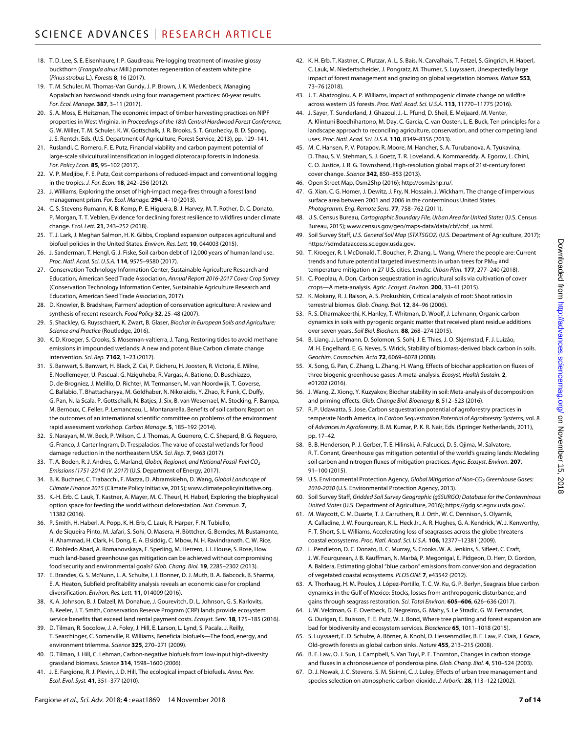- 18. T. D. Lee, S. E. Eisenhaure, I. P. Gaudreau, Pre-logging treatment of invasive glossy buckthorn (*Frangula alnus* Mill.) promotes regeneration of eastern white pine (*Pinus strobus* L.). *Forests* **8**, 16 (2017).
- 19. T. M. Schuler, M. Thomas-Van Gundy, J. P. Brown, J. K. Wiedenbeck, Managing Appalachian hardwood stands using four management practices: 60-year results. *For. Ecol. Manage.* **387**, 3–11 (2017).
- 20. S. A. Moss, E. Heitzman, The economic impact of timber harvesting practices on NIPF properties in West Virginia, in *Proceedings of the 18th Central Hardwood Forest Conference*, G. W. Miller, T. M. Schuler, K. W. Gottschalk, J. R. Brooks, S. T. Grushecky, B. D. Spong, J. S. Rentch, Eds. (U.S. Department of Agriculture, Forest Service, 2013), pp. 129–141.
- 21. Ruslandi, C. Romero, F. E. Putz, Financial viability and carbon payment potential of large-scale silvicultural intensification in logged dipterocarp forests in Indonesia. *For. Policy Econ.* **85**, 95–102 (2017).
- 22. V. P. Medjibe, F. E. Putz, Cost comparisons of reduced-impact and conventional logging in the tropics. *J. For. Econ.* **18**, 242–256 (2012).
- 23. J. Williams, Exploring the onset of high-impact mega-fires through a forest land management prism. *For. Ecol. Manage.* **294**, 4–10 (2013).
- 24. C. S. Stevens-Rumann, K. B. Kemp, P. E. Higuera, B. J. Harvey, M. T. Rother, D. C. Donato, P. Morgan, T. T. Veblen, Evidence for declining forest resilience to wildfires under climate change. *Ecol. Lett.* **21**, 243–252 (2018).
- 25. T. J. Lark, J. Meghan Salmon, H. K. Gibbs, Cropland expansion outpaces agricultural and biofuel policies in the United States. *Environ. Res. Lett.* **10**, 044003 (2015).
- 26. J. Sanderman, T. Hengl, G. J. Fiske, Soil carbon debt of 12,000 years of human land use. *Proc. Natl. Acad. Sci. U.S.A.* **114**, 9575–9580 (2017).
- 27. Conservation Technology Information Center, Sustainable Agriculture Research and Education, American Seed Trade Association, *Annual Report 2016-2017 Cover Crop Survey* (Conservation Technology Information Center, Sustainable Agriculture Research and Education, American Seed Trade Association, 2017).
- 28. D. Knowler, B. Bradshaw, Farmers' adoption of conservation agriculture: A review and synthesis of recent research. *Food Policy* **32**, 25–48 (2007).
- 29. S. Shackley, G. Ruysschaert, K. Zwart, B. Glaser, *Biochar in European Soils and Agriculture: Science and Practice* (Routledge, 2016).
- 30. K. D. Kroeger, S. Crooks, S. Moseman-valtierra, J. Tang, Restoring tides to avoid methane emissions in impounded wetlands: A new and potent Blue Carbon climate change intervention. *Sci. Rep.* **7162**, 1–23 (2017).
- 31. S. Banwart, S. Banwart, H. Black, Z. Cai, P. Gicheru, H. Joosten, R. Victoria, E. Milne, E. Noellemeyer, U. Pascual, G. Nziguheba, R. Vargas, A. Bationo, D. Buschiazzo, D. de-Brogniez, J. Melillo, D. Richter, M. Termansen, M. van Noordwijk, T. Goverse, C. Ballabio, T. Bhattacharyya, M. Goldhaber, N. Nikolaidis, Y. Zhao, R. Funk, C. Duffy, G. Pan, N. la Scala, P. Gottschalk, N. Batjes, J. Six, B. van Wesemael, M. Stocking, F. Bampa, M. Bernoux, C. Feller, P. Lemanceau, L. Montanarella, Benefits of soil carbon: Report on the outcomes of an international scientific committee on problems of the environment rapid assessment workshop. *Carbon Manage.* **5**, 185–192 (2014).
- 32. S. Narayan, M. W. Beck, P. Wilson, C. J. Thomas, A. Guerrero, C. C. Shepard, B. G. Reguero, G. Franco, J. Carter Ingram, D. Trespalacios, The value of coastal wetlands for flood damage reduction in the northeastern USA. *Sci. Rep.* **7**, 9463 (2017).
- 33. T. A. Boden, R. J. Andres, G. Marland, *Global, Regional, and National Fossil-Fuel CO2 Emissions (1751-2014) (V. 2017)* (U.S. Department of Energy, 2017).
- 34. B. K. Buchner, C. Trabacchi, F. Mazza, D. Abramskiehn, D. Wang, *Global Landscape of Climate Finance 2015* (Climate Policy Initiative, 2015); [www.climatepolicyinitiative.org](http://www.climatepolicyinitiative.org).
- 35. K.-H. Erb, C. Lauk, T. Kastner, A. Mayer, M. C. Theurl, H. Haberl, Exploring the biophysical option space for feeding the world without deforestation. *Nat. Commun.* **7**, 11382 (2016).
- 36. P. Smith, H. Haberl, A. Popp, K. H. Erb, C. Lauk, R. Harper, F. N. Tubiello, A. de Siqueira Pinto, M. Jafari, S. Sohi, O. Masera, H. Böttcher, G. Berndes, M. Bustamante, H. Ahammad, H. Clark, H. Dong, E. A. Elsiddig, C. Mbow, N. H. Ravindranath, C. W. Rice, C. Robledo Abad, A. Romanovskaya, F. Sperling, M. Herrero, J. I. House, S. Rose, How much land-based greenhouse gas mitigation can be achieved without compromising food security and environmental goals? *Glob. Chang. Biol.* **19**, 2285–2302 (2013).
- 37. E. Brandes, G. S. McNunn, L. A. Schulte, I. J. Bonner, D. J. Muth, B. A. Babcock, B. Sharma, E. A. Heaton, Subfield profitability analysis reveals an economic case for cropland diversification. *Environ. Res. Lett.* **11**, 014009 (2016).
- 38. K. A. Johnson, B. J. Dalzell, M. Donahue, J. Gourevitch, D. L. Johnson, G. S. Karlovits, B. Keeler, J. T. Smith, Conservation Reserve Program (CRP) lands provide ecosystem service benefits that exceed land rental payment costs. *Ecosyst. Serv.* **18**, 175–185 (2016).
- 39. D. Tilman, R. Socolow, J. A. Foley, J. Hill, E. Larson, L. Lynd, S. Pacala, J. Reilly, T. Searchinger, C. Somerville, R. Williams, Beneficial biofuels—The food, energy, and environment trilemma. *Science* **325**, 270–271 (2009).
- 40. D. Tilman, J. Hill, C. Lehman, Carbon-negative biofuels from low-input high-diversity grassland biomass. *Science* **314**, 1598–1600 (2006).
- 41. J. E. Fargione, R. J. Plevin, J. D. Hill, The ecological impact of biofuels. *Annu. Rev. Ecol. Evol. Syst.* **41**, 351–377 (2010).
- 42. K. H. Erb, T. Kastner, C. Plutzar, A. L. S. Bais, N. Carvalhais, T. Fetzel, S. Gingrich, H. Haberl, C. Lauk, M. Niedertscheider, J. Pongratz, M. Thurner, S. Luyssaert, Unexpectedly large impact of forest management and grazing on global vegetation biomass. *Nature* **553**, 73–76 (2018).
- 43. J. T. Abatzoglou, A. P. Williams, Impact of anthropogenic climate change on wildfire across western US forests. *Proc. Natl. Acad. Sci. U.S.A.* **113**, 11770–11775 (2016).
- 44. J. Sayer, T. Sunderland, J. Ghazoul, J.-L. Pfund, D. Sheil, E. Meijaard, M. Venter, A. Klintuni Boedhihartono, M. Day, C. Garcia, C. van Oosten, L. E. Buck, Ten principles for a landscape approach to reconciling agriculture, conservation, and other competing land uses. *Proc. Natl. Acad. Sci. U.S.A.* **110**, 8349–8356 (2013).
- 45. M. C. Hansen, P. V. Potapov, R. Moore, M. Hancher, S. A. Turubanova, A. Tyukavina, D. Thau, S. V. Stehman, S. J. Goetz, T. R. Loveland, A. Kommareddy, A. Egorov, L. Chini, C. O. Justice, J. R. G. Townshend, High-resolution global maps of 21st-century forest cover change. *Science* **342**, 850–853 (2013).
- 46. Open Street Map, Osm2Shp (2016); [http://osm2shp.ru/.](http://osm2shp.ru/)
- 47. G. Xian, C. G. Homer, J. Dewitz, J. Fry, N. Hossain, J. Wickham, The change of impervious surface area between 2001 and 2006 in the conterminous United States. *Photogramm. Eng. Remote Sens.* **77**, 758–762 (2011).
- 48. U.S. Census Bureau, *Cartographic Boundary File, Urban Area for United States* (U.S. Census Bureau, 2015); [www.census.gov/geo/maps-data/data/cbf/cbf\\_ua.html](http://www.census.gov/geo/maps-data/data/cbf/cbf_ua.html).
- 49. Soil Survey Staff, *U.S. General Soil Map (STATSGO2)* (U.S. Department of Agriculture, 2017); [https://sdmdataaccess.sc.egov.usda.gov.](https://sdmdataaccess.sc.egov.usda.gov)
- 50. T. Kroeger, R. I. McDonald, T. Boucher, P. Zhang, L. Wang, Where the people are: Current trends and future potential targeted investments in urban trees for  $PM_{10}$  and temperature mitigation in 27 U.S. cities. *Landsc. Urban Plan.* **177**, 277–240 (2018).
- 51. C. Poeplau, A. Don, Carbon sequestration in agricultural soils via cultivation of cover crops—A meta-analysis. *Agric. Ecosyst. Environ.* **200**, 33–41 (2015).
- 52. K. Mokany, R. J. Raison, A. S. Prokushkin, Critical analysis of root: Shoot ratios in terrestrial biomes. *Glob. Chang. Biol.* **12**, 84–96 (2006).
- 53. R. S. Dharmakeerthi, K. Hanley, T. Whitman, D. Woolf, J. Lehmann, Organic carbon dynamics in soils with pyrogenic organic matter that received plant residue additions over seven years. *Soil Biol. Biochem.* **88**, 268–274 (2015).
- 54. B. Liang, J. Lehmann, D. Solomon, S. Sohi, J. E. Thies, J. O. Skjemstad, F. J. Luizão, M. H. Engelhard, E. G. Neves, S. Wirick, Stability of biomass-derived black carbon in soils. *Geochim. Cosmochim. Acta* **72**, 6069–6078 (2008).
- 55. X. Song, G. Pan, C. Zhang, L. Zhang, H. Wang, Effects of biochar application on fluxes of three biogenic greenhouse gases: A meta-analysis. *Ecosyst. Health Sustain.* **2**, e01202 (2016).
- 56. J. Wang, Z. Xiong, Y. Kuzyakov, Biochar stability in soil: Meta-analysis of decomposition and priming effects. *Glob. Change Biol. Bioenergy* **8**, 512–523 (2016).
- 57. R. P. Udawatta, S. Jose, Carbon sequestration potential of agroforestry practices in temperate North America, in *Carbon Sequestration Potential of Agroforestry Systems*, vol. 8 of *Advances in Agroforestry*, B. M. Kumar, P. K. R. Nair, Eds. (Springer Netherlands, 2011), pp. 17–42.
- 58. B. B. Henderson, P. J. Gerber, T. E. Hilinski, A. Falcucci, D. S. Ojima, M. Salvatore, R. T. Conant, Greenhouse gas mitigation potential of the world's grazing lands: Modeling soil carbon and nitrogen fluxes of mitigation practices. *Agric. Ecosyst. Environ.* **207**, 91–100 (2015).
- 59. U.S. Environmental Protection Agency, *Global Mitigation of Non-CO<sub>2</sub> Greenhouse Gases: 2010-2030* (U.S. Environmental Protection Agency, 2013).
- 60. Soil Survey Staff, *Gridded Soil Survey Geographic (gSSURGO) Database for the Conterminous United States* (U.S. Department of Agriculture, 2016);<https://gdg.sc.egov.usda.gov/>.
- 61. M. Waycott, C. M. Duarte, T. J. Carruthers, R. J. Orth, W. C. Dennison, S. Olyarnik, A. Calladine, J. W. Fourqurean, K. L. Heck Jr., A. R. Hughes, G. A. Kendrick, W. J. Kenworthy, F. T. Short, S. L. Williams, Accelerating loss of seagrasses across the globe threatens coastal ecosystems. *Proc. Natl. Acad. Sci. U.S.A.* **106**, 12377–12381 (2009).
- 62. L. Pendleton, D. C. Donato, B. C. Murray, S. Crooks, W. A. Jenkins, S. Sifleet, C. Craft, J. W. Fourqurean, J. B. Kauffman, N. Marbà, P. Megonigal, E. Pidgeon, D. Herr, D. Gordon, A. Baldera, Estimating global "blue carbon" emissions from conversion and degradation of vegetated coastal ecosystems. *PLOS ONE* **7**, e43542 (2012).
- 63. A. Thorhaug, H. M. Poulos, J. López-Portillo, T. C. W. Ku, G. P. Berlyn, Seagrass blue carbon dynamics in the Gulf of Mexico: Stocks, losses from anthropogenic disturbance, and gains through seagrass restoration. *Sci. Total Environ.* **605–606**, 626–636 (2017).
- J. W. Veldman, G. E. Overbeck, D. Negreiros, G. Mahy, S. Le Stradic, G. W. Fernandes, G. Durigan, E. Buisson, F. E. Putz, W. J. Bond, Where tree planting and forest expansion are bad for biodiversity and ecosystem services. *Bioscience* **65**, 1011–1018 (2015).
- 65. S. Luyssaert, E. D. Schulze, A. Börner, A. Knohl, D. Hessenmöller, B. E. Law, P. Ciais, J. Grace, Old-growth forests as global carbon sinks. *Nature* **455**, 213–215 (2008).
- 66. B. E. Law, O. J. Sun, J. Campbell, S. Van Tuyl, P. E. Thornton, Changes in carbon storage and fluxes in a chronoseuence of ponderosa pine. *Glob. Chang. Biol.* **4**, 510–524 (2003).
- 67. D. J. Nowak, J. C. Stevens, S. M. Sisinni, C. J. Luley, Effects of urban tree management and species selection on atmospheric carbon dioxide. *J. Arboric.* **28**, 113–122 (2002).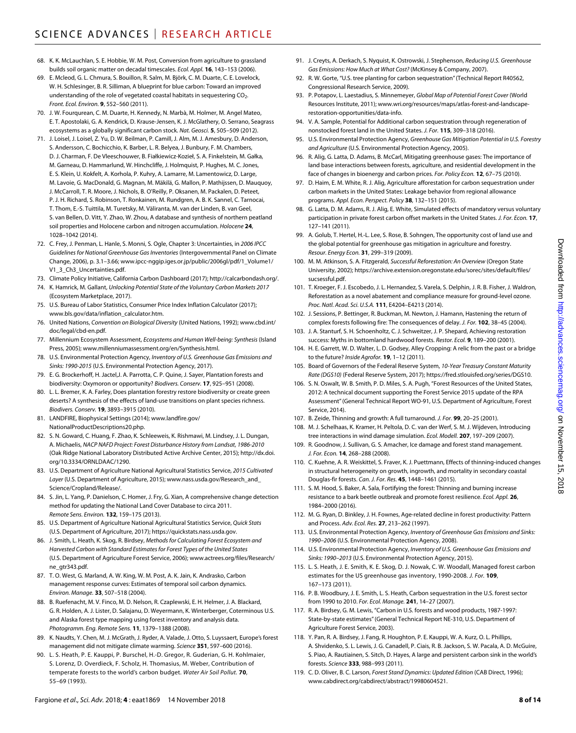- 68. K. K. McLauchlan, S. E. Hobbie, W. M. Post, Conversion from agriculture to grassland builds soil organic matter on decadal timescales. *Ecol. Appl.* **16**, 143–153 (2006).
- 69. E. Mcleod, G. L. Chmura, S. Bouillon, R. Salm, M. Björk, C. M. Duarte, C. E. Lovelock, W. H. Schlesinger, B. R. Silliman, A blueprint for blue carbon: Toward an improved understanding of the role of vegetated coastal habitats in sequestering CO<sub>2</sub>. *Front. Ecol. Environ.* **9**, 552–560 (2011).
- 70. J. W. Fourqurean, C. M. Duarte, H. Kennedy, N. Marbà, M. Holmer, M. Angel Mateo, E. T. Apostolaki, G. A. Kendrick, D. Krause-Jensen, K. J. McGlathery, O. Serrano, Seagrass ecosystems as a globally significant carbon stock. *Nat. Geosci.* **5**, 505–509 (2012).
- 71. J. Loisel, J. Loisel, Z. Yu, D. W. Beilman, P. Camill, J. Alm, M. J. Amesbury, D. Anderson, S. Andersson, C. Bochicchio, K. Barber, L. R. Belyea, J. Bunbury, F. M. Chambers, D. J. Charman, F. De Vleeschouwer, B. Fiałkiewicz-Kozieł, S. A. Finkelstein, M. Gałka, M. Garneau, D. Hammarlund, W. Hinchcliffe, J. Holmquist, P. Hughes, M. C. Jones, E. S. Klein, U. Kokfelt, A. Korhola, P. Kuhry, A. Lamarre, M. Lamentowicz, D. Large, M. Lavoie, G. MacDonald, G. Magnan, M. Mäkilä, G. Mallon, P. Mathijssen, D. Mauquoy, J. McCarroll, T. R. Moore, J. Nichols, B. O'Reilly, P. Oksanen, M. Packalen, D. Peteet, P. J. H. Richard, S. Robinson, T. Ronkainen, M. Rundgren, A. B. K. Sannel, C. Tarnocai, T. Thom, E.-S. Tuittila, M. Turetsky, M. Väliranta, M. van der Linden, B. van Geel, S. van Bellen, D. Vitt, Y. Zhao, W. Zhou, A database and synthesis of northern peatland soil properties and Holocene carbon and nitrogen accumulation. *Holocene* **24**, 1028–1042 (2014).
- 72. C. Frey, J. Penman, L. Hanle, S. Monni, S. Ogle, Chapter 3: Uncertainties, in *2006 IPCC Guidelines for National Greenhouse Gas Inventories* (Intergovernmental Panel on Climate Change, 2006), p. 3.1–3.66; [www.ipcc-nggip.iges.or.jp/public/2006gl/pdf/1\\_Volume1/](http://www.ipcc-nggip.iges.or.jp/public/2006gl/pdf/1_Volume1/V1_3_Ch3_Uncertainties.pdf) [V1\\_3\\_Ch3\\_Uncertainties.pdf](http://www.ipcc-nggip.iges.or.jp/public/2006gl/pdf/1_Volume1/V1_3_Ch3_Uncertainties.pdf).
- 73. Climate Policy Initiative, California Carbon Dashboard (2017);<http://calcarbondash.org/>.
- 74. K. Hamrick, M. Gallant, *Unlocking Potential State of the Voluntary Carbon Markets 2017* (Ecosystem Marketplace, 2017).
- 75. U.S. Bureau of Labor Statistics, Consumer Price Index Inflation Calculator (2017); [www.bls.gov/data/inflation\\_calculator.htm.](http://www.bls.gov/data/inflation_calculator.htm)
- 76. United Nations, *Convention on Biological Diversity* (United Nations, 1992); [www.cbd.int/](http://www.cbd.int/doc/legal/cbd-en.pdf) [doc/legal/cbd-en.pdf](http://www.cbd.int/doc/legal/cbd-en.pdf).
- 77. Millennium Ecosystem Assessment, *Ecosystems and Human Well-being: Synthesis* (Island Press, 2005); [www.millenniumassessment.org/en/Synthesis.html](http://www.millenniumassessment.org/en/Synthesis.html).
- 78. U.S. Environmental Protection Agency, *Inventory of U.S. Greenhouse Gas Emissions and Sinks: 1990-2015* (U.S. Environmental Protection Agency, 2017).
- 79. E. G. Brockerhoff, H. Jactel,J. A. Parrotta, C. P. Quine, J. Sayer, Plantation forests and biodiversity: Oxymoron or opportunity? *Biodivers. Conserv.* **17**, 925–951 (2008).
- 80. L. L. Bremer, K. A. Farley, Does plantation forestry restore biodiversity or create green deserts? A synthesis of the effects of land-use transitions on plant species richness. *Biodivers. Conserv.* **19**, 3893–3915 (2010).
- 81. LANDFIRE, Biophysical Settings (2014); [www.landfire.gov/](http://www.landfire.gov/NationalProductDescriptions20.php) [NationalProductDescriptions20.php](http://www.landfire.gov/NationalProductDescriptions20.php).
- 82. S. N. Goward, C. Huang, F. Zhao, K. Schleeweis, K. Rishmawi, M. Lindsey, J. L. Dungan, A. Michaelis, *NACP NAFD Project: Forest Disturbance History from Landsat, 1986-2010* (Oak Ridge National Laboratory Distributed Active Archive Center, 2015); [http://dx.doi.](http://dx.doi.org/10.3334/ORNLDAAC/1290) [org/10.3334/ORNLDAAC/1290](http://dx.doi.org/10.3334/ORNLDAAC/1290).
- 83. U.S. Department of Agriculture National Agricultural Statistics Service, *2015 Cultivated Layer* (U.S. Department of Agriculture, 2015); [www.nass.usda.gov/Research\\_and\\_](http://www.nass.usda.gov/Research_and_Science/Cropland/Release/) [Science/Cropland/Release/.](http://www.nass.usda.gov/Research_and_Science/Cropland/Release/)
- 84. S. Jin, L. Yang, P. Danielson, C. Homer, J. Fry, G. Xian, A comprehensive change detection method for updating the National Land Cover Database to circa 2011. *Remote Sens. Environ.* **132**, 159–175 (2013).
- 85. U.S. Department of Agriculture National Agricultural Statistics Service, *Quick Stats* (U.S. Department of Agriculture, 2017); <https://quickstats.nass.usda.gov>.
- 86. J. Smith, L. Heath, K. Skog, R. Birdsey, *Methods for Calculating Forest Ecosystem and Harvested Carbon with Standard Estimates for Forest Types of the United States* (U.S. Department of Agriculture Forest Service, 2006); [www.actrees.org/files/Research/](http://www.actrees.org/files/Research/ne_gtr343.pdf) [ne\\_gtr343.pdf.](http://www.actrees.org/files/Research/ne_gtr343.pdf)
- 87. T. O. West, G. Marland, A. W. King, W. M. Post, A. K. Jain, K. Andrasko, Carbon management response curves: Estimates of temporal soil carbon dynamics. *Environ. Manage.* **33**, 507–518 (2004).
- 88. B. Ruefenacht, M. V. Finco, M. D. Nelson, R. Czaplewski, E. H. Helmer, J. A. Blackard, G. R. Holden, A. J. Lister, D. Salajanu, D. Weyermann, K. Winterberger, Coterminous U.S. and Alaska forest type mapping using forest inventory and analysis data. *Photogramm. Eng. Remote Sens.* **11**, 1379–1388 (2008).
- 89. K. Naudts, Y. Chen, M. J. McGrath, J. Ryder, A. Valade, J. Otto, S. Luyssaert, Europe's forest management did not mitigate climate warming. *Science* **351**, 597–600 (2016).
- 90. L. S. Heath, P. E. Kauppi, P. Burschel, H.-D. Gregor, R. Guderian, G. H. Kohlmaier, S. Lorenz, D. Overdieck, F. Scholz, H. Thomasius, M. Weber, Contribution of temperate forests to the world's carbon budget. *Water Air Soil Pollut.* **70**, 55–69 (1993).
- 91. J. Creyts, A. Derkach, S. Nyquist, K. Ostrowski, J. Stephenson, *Reducing U.S. Greenhouse Gas Emissions: How Much at What Cost?* (McKinsey & Company, 2007).
- 92. R. W. Gorte, "U.S. tree planting for carbon sequestration" (Technical Report R40562, Congressional Research Service, 2009).
- 93. P. Potapov, L. Laestadius, S. Minnemeyer, *Global Map of Potential Forest Cover* (World Resources Institute, 2011); [www.wri.org/resources/maps/atlas-forest-and-landscape](http://www.wri.org/resources/maps/atlas-forest-and-landscape-restoration-opportunities/data-info)[restoration-opportunities/data-info.](http://www.wri.org/resources/maps/atlas-forest-and-landscape-restoration-opportunities/data-info)
- 94. V. A. Sample, Potential for Additional carbon sequestration through regeneration of nonstocked forest land in the United States. *J. For.* **115**, 309–318 (2016).
- 95. U.S. Environmental Protection Agency, *Greenhouse Gas Mitigation Potential in U.S. Forestry and Agriculture* (U.S. Environmental Protection Agency, 2005).
- 96. R. Alig, G. Latta, D. Adams, B. McCarl, Mitigating greenhouse gases: The importance of land base interactions between forests, agriculture, and residential development in the face of changes in bioenergy and carbon prices. *For. Policy Econ.* **12**, 67–75 (2010).
- 97. D. Haim, E. M. White, R. J. Alig, Agriculture afforestation for carbon sequestration under carbon markets in the United States: Leakage behavior from regional allowance programs. *Appl. Econ. Perspect. Policy* **38**, 132–151 (2015).
- 98. G. Latta, D. M. Adams, R. J. Alig, E. White, Simulated effects of mandatory versus voluntary participation in private forest carbon offset markets in the United States. *J. For. Econ.* **17**, 127–141 (2011).
- 99. A. Golub, T. Hertel, H.-L. Lee, S. Rose, B. Sohngen, The opportunity cost of land use and the global potential for greenhouse gas mitigation in agriculture and forestry. *Resour. Energy Econ.* **31**, 299–319 (2009).
- 100. M. M. Atkinson, S. A. Fitzgerald, *Successful Reforestation: An Overview* (Oregon State University, 2002); [https://archive.extension.oregonstate.edu/sorec/sites/default/files/](https://archive.extension.oregonstate.edu/sorec/sites/default/files/sucsessful.pdf) [sucsessful.pdf.](https://archive.extension.oregonstate.edu/sorec/sites/default/files/sucsessful.pdf)
- 101. T. Kroeger, F. J. Escobedo, J. L. Hernandez, S. Varela, S. Delphin, J. R. B. Fisher, J. Waldron, Reforestation as a novel abatement and compliance measure for ground-level ozone. *Proc. Natl. Acad. Sci. U.S.A.* **111**, E4204–E4213 (2014).
- 102. J. Sessions, P. Bettinger, R. Buckman, M. Newton, J. Hamann, Hastening the return of complex forests following fire: The consequences of delay. *J. For.* **102**, 38–45 (2004).
- 103. J. A. Stanturf, S. H. Schoenholtz, C. J. Schweitzer, J. P. Shepard, Achieving restoration success: Myths in bottomland hardwood forests. *Restor. Ecol.* **9**, 189–200 (2001).
- 104. H. E. Garrett, W. D. Walter, L. D. Godsey, Alley Cropping: A relic from the past or a bridge to the future? *Inside Agrofor.* **19**, 1–12 (2011).
- 105. Board of Governors of the Federal Reserve System, *10-Year Treasury Constant Maturity Rate (DGS10)* (Federal Reserve System, 2017); <https://fred.stlouisfed.org/series/DGS10>.
- 106. S. N. Oswalt, W. B. Smith, P. D. Miles, S. A. Pugh, "Forest Resources of the United States, 2012: A technical document supporting the Forest Service 2015 update of the RPA Assessment" (General Technical Report WO-91, U.S. Department of Agriculture, Forest Service, 2014).
- 107. B. Zeide, Thinning and growth: A full turnaround. *J. For.* **99**, 20–25 (2001).
- 108. M. J. Schelhaas, K. Kramer, H. Peltola, D. C. van der Werf, S. M. J. Wijdeven, Introducing tree interactions in wind damage simulation. *Ecol. Modell.* **207**, 197–209 (2007).
- 109. R. Goodnow, J. Sullivan, G. S. Amacher, Ice damage and forest stand management. *J. For. Econ.* **14**, 268–288 (2008).
- 110. C. Kuehne, A. R. Weiskittel, S. Fraver, K. J. Puettmann, Effects of thinning-induced changes in structural heterogeneity on growth, ingrowth, and mortality in secondary coastal Douglas-fir forests. *Can. J. For. Res.* **45**, 1448–1461 (2015).
- 111. S. M. Hood, S. Baker, A. Sala, Fortifying the forest: Thinning and burning increase resistance to a bark beetle outbreak and promote forest resilience. *Ecol. Appl.* **26**, 1984–2000 (2016).
- 112. M. G. Ryan, D. Binkley, J. H. Fownes, Age-related decline in forest productivity: Pattern and Process. *Adv. Ecol. Res.* **27**, 213–262 (1997).
- 113. U.S. Environmental Protection Agency, *Inventory of Greenhouse Gas Emissions and Sinks: 1990–2006* (U.S. Environmental Protection Agency, 2008).
- 114. U.S. Environmental Protection Agency, *Inventory of U.S. Greenhouse Gas Emissions and Sinks: 1990–2013* (U.S. Environmental Protection Agency, 2015).
- 115. L. S. Heath, J. E. Smith, K. E. Skog, D. J. Nowak, C. W. Woodall, Managed forest carbon estimates for the US greenhouse gas inventory, 1990-2008. *J. For.* **109**, 167–173 (2011).
- 116. P. B. Woodbury, J. E. Smith, L. S. Heath, Carbon sequestration in the U.S. forest sector from 1990 to 2010. *For. Ecol. Manage.* **241**, 14–27 (2007).
- 117. R. A. Birdsey, G. M. Lewis, "Carbon in U.S. forests and wood products, 1987-1997: State-by-state estimates" (General Technical Report NE-310, U.S. Department of Agriculture Forest Service, 2003).
- 118. Y. Pan, R. A. Birdsey, J. Fang, R. Houghton, P. E. Kauppi, W. A. Kurz, O. L. Phillips, A. Shvidenko, S. L. Lewis, J. G. Canadell, P. Ciais, R. B. Jackson, S. W. Pacala, A. D. McGuire, S. Piao, A. Rautiainen, S. Sitch, D. Hayes, A large and persistent carbon sink in the world's forests. *Science* **333**, 988–993 (2011).
- 119. C. D. Oliver, B. C. Larson, *Forest Stand Dynamics: Updated Edition* (CAB Direct, 1996); [www.cabdirect.org/cabdirect/abstract/19980604521](http://www.cabdirect.org/cabdirect/abstract/19980604521).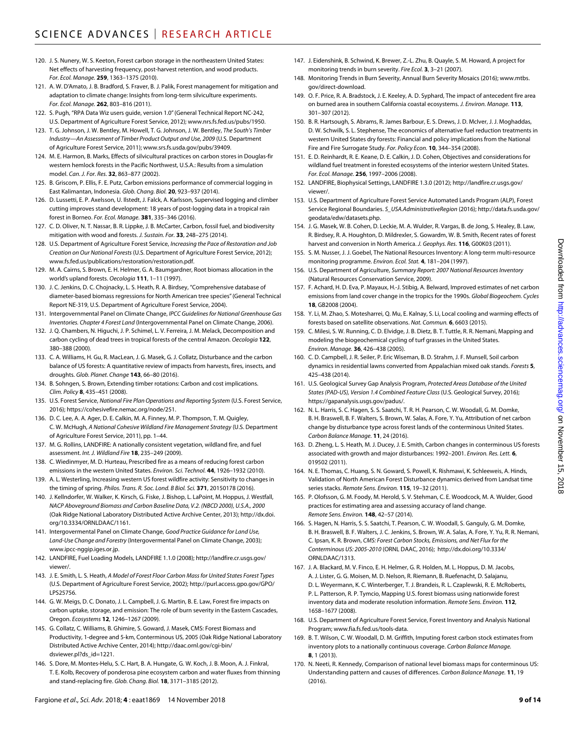- 120. J. S. Nunery, W. S. Keeton, Forest carbon storage in the northeastern United States: Net effects of harvesting frequency, post-harvest retention, and wood products. *For. Ecol. Manage.* **259**, 1363–1375 (2010).
- 121. A. W. D'Amato, J. B. Bradford, S. Fraver, B. J. Palik, Forest management for mitigation and adaptation to climate change: Insights from long-term silviculture experiments. *For. Ecol. Manage.* **262**, 803–816 (2011).
- 122. S. Pugh, "RPA Data Wiz users guide, version 1.0" (General Technical Report NC-242, U.S. Department of Agriculture Forest Service, 2012); [www.nrs.fs.fed.us/pubs/1950.](http://www.nrs.fs.fed.us/pubs/1950)
- 123. T. G. Johnson, J. W. Bentley, M. Howell, T. G. Johnson, J. W. Bentley, *The South's Timber Industry—An Assessment of Timber Product Output and Use, 2009* (U.S. Department of Agriculture Forest Service, 2011); [www.srs.fs.usda.gov/pubs/39409](http://www.srs.fs.usda.gov/pubs/39409).
- 124. M. E. Harmon, B. Marks, Effects of silvicultural practices on carbon stores in Douglas-fir western hemlock forests in the Pacific Northwest, U.S.A.: Results from a simulation model. *Can. J. For. Res.* **32**, 863–877 (2002).
- 125. B. Griscom, P. Ellis, F. E. Putz, Carbon emissions performance of commercial logging in East Kalimantan, Indonesia. *Glob. Chang. Biol.* **20**, 923–937 (2014).
- 126. D. Lussetti, E. P. Axelsson, U. Ilstedt, J. Falck, A. Karlsson, Supervised logging and climber cutting improves stand development: 18 years of post-logging data in a tropical rain forest in Borneo. *For. Ecol. Manage.* **381**, 335–346 (2016).
- 127. C. D. Oliver, N. T. Nassar, B. R. Lippke, J. B. McCarter, Carbon, fossil fuel, and biodiversity mitigation with wood and forests. *J. Sustain. For.* **33**, 248–275 (2014).
- 128. U.S. Department of Agriculture Forest Service, *Increasing the Pace of Restoration and Job Creation on Our National Forests* (U.S. Department of Agriculture Forest Service, 2012); [www.fs.fed.us/publications/restoration/restoration.pdf](http://www.fs.fed.us/publications/restoration/restoration.pdf).
- 129. M. A. Cairns, S. Brown, E. H. Helmer, G. A. Baumgardner, Root biomass allocation in the world's upland forests. *Oecologia* **111**, 1–11 (1997).
- 130. J. C. Jenkins, D. C. Chojnacky, L. S. Heath, R. A. Birdsey, "Comprehensive database of diameter-based biomass regressions for North American tree species" (General Technical Report NE-319, U.S. Department of Agriculture Forest Service, 2004).
- 131. Intergovernmental Panel on Climate Change, *IPCC Guidelines for National Greenhouse Gas Inventories. Chapter 4 Forest Land* (Intergovernmental Panel on Climate Change, 2006).
- 132. J. Q. Chambers, N. Higuchi, J. P. Schimel, L. V. Ferreira, J. M. Melack, Decomposition and carbon cycling of dead trees in tropical forests of the central Amazon. *Oecologia* **122**, 380–388 (2000).
- 133. C. A. Williams, H. Gu, R. MacLean, J. G. Masek, G. J. Collatz, Disturbance and the carbon balance of US forests: A quantitative review of impacts from harvests, fires, insects, and droughts. *Glob. Planet. Change* **143**, 66–80 (2016).
- 134. B. Sohngen, S. Brown, Extending timber rotations: Carbon and cost implications. *Clim. Policy* **8**, 435–451 (2008).
- 135. U.S. Forest Service, *National Fire Plan Operations and Reporting System* (U.S. Forest Service, 2016); <https://cohesivefire.nemac.org/node/251>.
- 136. D. C. Lee, A. A. Ager, D. E. Calkin, M. A. Finney, M. P. Thompson, T. M. Quigley, C. W. McHugh, *A National Cohesive Wildland Fire Management Strategy* (U.S. Department of Agriculture Forest Service, 2011), pp. 1–44.
- 137. M. G. Rollins, LANDFIRE: A nationally consistent vegetation, wildland fire, and fuel assessment. *Int. J. Wildland Fire* **18**, 235–249 (2009).
- 138. C. Wiedinmyer, M. D. Hurteau, Prescribed fire as a means of reducing forest carbon emissions in the western United States. *Environ. Sci. Technol.* **44**, 1926–1932 (2010).
- 139. A. L. Westerling, Increasing western US forest wildfire activity: Sensitivity to changes in the timing of spring. *Philos. Trans. R. Soc. Lond. B Biol. Sci.* **371**, 20150178 (2016).
- 140. J. Kellndorfer, W. Walker, K. Kirsch, G. Fiske, J. Bishop, L. LaPoint, M. Hoppus, J. Westfall, *NACP Aboveground Biomass and Carbon Baseline Data, V.2. (NBCD 2000), U.S.A., 2000* (Oak Ridge National Laboratory Distributed Active Archive Center, 2013); [http://dx.doi.](http://dx.doi.org/10.3334/ORNLDAAC/1161) [org/10.3334/ORNLDAAC/1161](http://dx.doi.org/10.3334/ORNLDAAC/1161).
- 141. Intergovermental Panel on Climate Change, *Good Practice Guidance for Land Use, Land-Use Change and Forestry* (Intergovermental Panel on Climate Change, 2003); [www.ipcc-nggip.iges.or.jp.](http://www.ipcc-nggip.iges.or.jp)
- 142. LANDFIRE, Fuel Loading Models, LANDFIRE 1.1.0 (2008); [http://landfire.cr.usgs.gov/](http://landfire.cr.usgs.gov/viewer/) [viewer/](http://landfire.cr.usgs.gov/viewer/).
- 143. J. E. Smith, L. S. Heath, *A Model of Forest Floor Carbon Mass for United States Forest Types* (U.S. Department of Agriculture Forest Service, 2002); [http://purl.access.gpo.gov/GPO/](http://purl.access.gpo.gov/GPO/LPS25756) [LPS25756](http://purl.access.gpo.gov/GPO/LPS25756).
- 144. G. W. Meigs, D. C. Donato, J. L. Campbell, J. G. Martin, B. E. Law, Forest fire impacts on carbon uptake, storage, and emission: The role of burn severity in the Eastern Cascades, Oregon. *Ecosystems* **12**, 1246–1267 (2009).
- 145. G. Collatz, C. Williams, B. Ghimire, S. Goward, J. Masek, CMS: Forest Biomass and Productivity, 1-degree and 5-km, Conterminous US, 2005 (Oak Ridge National Laboratory Distributed Active Archive Center, 2014); [http://daac.ornl.gov/cgi-bin/](http://daac.ornl.gov/cgi-bin/dsviewer.pl?ds_id=1221) [dsviewer.pl?ds\\_id=1221](http://daac.ornl.gov/cgi-bin/dsviewer.pl?ds_id=1221).
- 146. S. Dore, M. Montes-Helu, S. C. Hart, B. A. Hungate, G. W. Koch, J. B. Moon, A. J. Finkral, T. E. Kolb, Recovery of ponderosa pine ecosystem carbon and water fluxes from thinning and stand-replacing fire. *Glob. Chang. Biol.* **18**, 3171–3185 (2012).
- 147. J. Eidenshink, B. Schwind, K. Brewer, Z.-L. Zhu, B. Quayle, S. M. Howard, A project for monitoring trends in burn severity. *Fire Ecol.* **3**, 3–21 (2007).
- 148. Monitoring Trends in Burn Severity, Annual Burn Severity Mosaics (2016); [www.mtbs.](http://www.mtbs.gov/direct-download) [gov/direct-download.](http://www.mtbs.gov/direct-download)
- 149. O. F. Price, R. A. Bradstock, J. E. Keeley, A. D. Syphard, The impact of antecedent fire area on burned area in southern California coastal ecosystems. *J. Environ. Manage.* **113**, 301–307 (2012).
- 150. B. R. Hartsough, S. Abrams, R. James Barbour, E. S. Drews, J. D. McIver, J. J. Moghaddas, D. W. Schwilk, S. L. Stephense, The economics of alternative fuel reduction treatments in western United States dry forests: Financial and policy implications from the National Fire and Fire Surrogate Study. *For. Policy Econ.* **10**, 344–354 (2008).
- 151. E. D. Reinhardt, R. E. Keane, D. E. Calkin, J. D. Cohen, Objectives and considerations for wildland fuel treatment in forested ecosystems of the interior western United States. *For. Ecol. Manage.* **256**, 1997–2006 (2008).
- 152. LANDFIRE, Biophysical Settings, LANDFIRE 1.3.0 (2012); [http://landfire.cr.usgs.gov/](http://landfire.cr.usgs.gov/viewer/) [viewer/](http://landfire.cr.usgs.gov/viewer/).
- 153. U.S. Department of Agriculture Forest Service Automated Lands Program (ALP), Forest Service Regional Boundaries. *S\_USA.AdministrativeRegion* (2016); [http://data.fs.usda.gov/](http://data.fs.usda.gov/geodata/edw/datasets.php) [geodata/edw/datasets.php.](http://data.fs.usda.gov/geodata/edw/datasets.php)
- 154. J. G. Masek, W. B. Cohen, D. Leckie, M. A. Wulder, R. Vargas, B. de Jong, S. Healey, B. Law, R. Birdsey, R. A. Houghton, D. Mildrexler, S. Gowardm, W. B. Smith, Recent rates of forest harvest and conversion in North America. *J. Geophys. Res.* **116**, G00K03 (2011).
- 155. S. M. Nusser, J. J. Goebel, The National Resources Inventory: A long-term multi-resource monitoring programme. *Environ. Ecol. Stat.* **4**, 181–204 (1997).
- 156. U.S. Department of Agriculture, *Summary Report: 2007 National Resources Inventory* (Natural Resources Conservation Service, 2009).
- 157. F. Achard, H. D. Eva, P. Mayaux, H.-J. Stibig, A. Belward, Improved estimates of net carbon emissions from land cover change in the tropics for the 1990s. *Global Biogeochem. Cycles* **18**, GB2008 (2004).
- 158. Y. Li, M. Zhao, S. Motesharrei, Q. Mu, E. Kalnay, S. Li, Local cooling and warming effects of forests based on satellite observations. *Nat. Commun.* **6**, 6603 (2015).
- 159. C. Milesi, S. W. Running, C. D. Elvidge, J. B. Dietz, B. T. Tuttle, R. R. Nemani, Mapping and modeling the biogeochemical cycling of turf grasses in the United States. *Environ. Manage.* **36**, 426–438 (2005).
- 160. C. D. Campbell, J. R. Seiler, P. Eric Wiseman, B. D. Strahm, J. F. Munsell, Soil carbon dynamics in residential lawns converted from Appalachian mixed oak stands. *Forests* **5**, 425–438 (2014).
- 161. U.S. Geological Survey Gap Analysis Program, *Protected Areas Database of the United States (PAD-US), Version 1.4 Combined Feature Class* (U.S. Geological Survey, 2016); <https://gapanalysis.usgs.gov/padus/>.
- 162. N. L. Harris, S. C. Hagen, S. S. Saatchi, T. R. H. Pearson, C. W. Woodall, G. M. Domke, B. H. Braswell, B. F. Walters, S. Brown, W. Salas, A. Fore, Y. Yu, Attribution of net carbon change by disturbance type across forest lands of the conterminous United States. *Carbon Balance Manage.* **11**, 24 (2016).
- 163. D. Zheng, L. S. Heath, M. J. Ducey, J. E. Smith, Carbon changes in conterminous US forests associated with growth and major disturbances: 1992–2001. *Environ. Res. Lett.* **6**, 019502 (2011).
- 164. N. E. Thomas, C. Huang, S. N. Goward, S. Powell, K. Rishmawi, K. Schleeweis, A. Hinds, Validation of North American Forest Disturbance dynamics derived from Landsat time series stacks. *Remote Sens. Environ.* **115**, 19–32 (2011).
- 165. P. Olofsson, G. M. Foody, M. Herold, S. V. Stehman, C. E. Woodcock, M. A. Wulder, Good practices for estimating area and assessing accuracy of land change. *Remote Sens. Environ.* **148**, 42–57 (2014).
- 166. S. Hagen, N. Harris, S. S. Saatchi, T. Pearson, C. W. Woodall, S. Ganguly, G. M. Domke, B. H. Braswell, B. F. Walters, J. C. Jenkins, S. Brown, W. A. Salas, A. Fore, Y. Yu, R. R. Nemani, C. Ipsan, K. R. Brown, *CMS: Forest Carbon Stocks, Emissions, and Net Flux for the Conterminous US: 2005-2010* (ORNL DAAC, 2016); [http://dx.doi.org/10.3334/](http://dx.doi.org/10.3334/ORNLDAAC/1313) [ORNLDAAC/1313](http://dx.doi.org/10.3334/ORNLDAAC/1313).
- 167. J. A. Blackard, M. V. Finco, E. H. Helmer, G. R. Holden, M. L. Hoppus, D. M. Jacobs, A. J. Lister, G. G. Moisen, M. D. Nelson, R. Riemann, B. Ruefenacht, D. Salajanu, D. L. Weyermann, K. C. Winterberger, T. J. Brandeis, R. L. Czaplewski, R. E. McRoberts, P. L. Patterson, R. P. Tymcio, Mapping U.S. forest biomass using nationwide forest inventory data and moderate resolution information. *Remote Sens. Environ.* **112**, 1658–1677 (2008).
- 168. U.S. Department of Agriculture Forest Service, Forest Inventory and Analysis National Program; [www.fia.fs.fed.us/tools-data.](http://www.fia.fs.fed.us/tools-data)
- 169. B. T. Wilson, C. W. Woodall, D. M. Griffith, Imputing forest carbon stock estimates from inventory plots to a nationally continuous coverage. *Carbon Balance Manage.* **8**, 1 (2013).
- 170. N. Neeti, R. Kennedy, Comparison of national level biomass maps for conterminous US: Understanding pattern and causes of differences. *Carbon Balance Manage.* **11**, 19 (2016).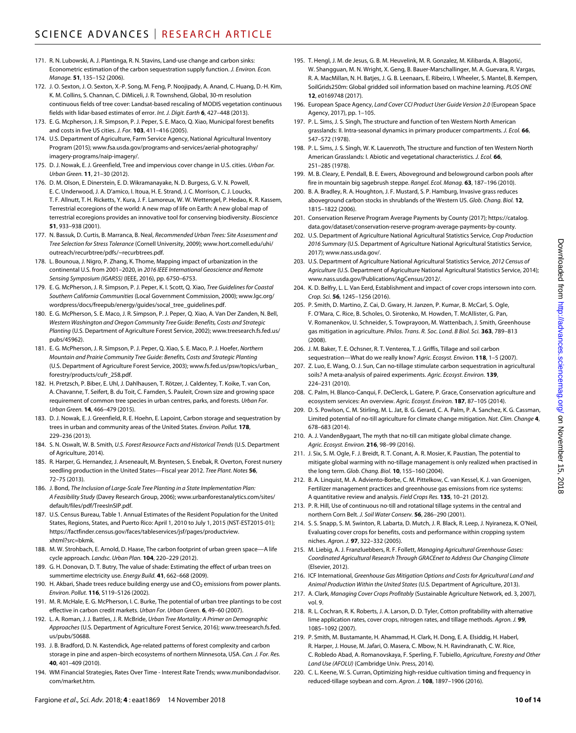- 171. R. N. Lubowski, A. J. Plantinga, R. N. Stavins, Land-use change and carbon sinks: Econometric estimation of the carbon sequestration supply function. *J. Environ. Econ. Manage.* **51**, 135–152 (2006).
- 172. J. O. Sexton, J. O. Sexton, X.-P. Song, M. Feng, P. Noojipady, A. Anand, C. Huang, D.-H. Kim, K. M. Collins, S. Channan, C. DiMiceli, J. R. Townshend, Global, 30-m resolution continuous fields of tree cover: Landsat-based rescaling of MODIS vegetation continuous fields with lidar-based estimates of error. *Int. J. Digit. Earth* **6**, 427–448 (2013).
- 173. E. G. Mcpherson, J. R. Simpson, P. J. Peper, S. E. Maco, Q. Xiao, Municipal forest benefits and costs in five US cities. *J. For.* **103**, 411–416 (2005).
- 174. U.S. Department of Agriculture, Farm Service Agency, National Agricultural Inventory Program (2015); [www.fsa.usda.gov/programs-and-services/aerial-photography/](http://www.fsa.usda.gov/programs-and-services/aerial-photography/imagery-programs/naip-imagery/) [imagery-programs/naip-imagery/](http://www.fsa.usda.gov/programs-and-services/aerial-photography/imagery-programs/naip-imagery/).
- 175. D. J. Nowak, E. J. Greenfield, Tree and impervious cover change in U.S. cities. *Urban For. Urban Green.* **11**, 21–30 (2012).
- 176. D. M. Olson, E. Dinerstein, E. D. Wikramanayake, N. D. Burgess, G. V. N. Powell, E. C. Underwood, J. A. D'amico, I. Itoua, H. E. Strand, J. C. Morrison, C. J. Loucks, T. F. Allnutt, T. H. Ricketts, Y. Kura, J. F. Lamoreux, W. W. Wettengel, P. Hedao, K. R. Kassem, Terrestrial ecoregions of the world: A new map of life on Earth: A new global map of terrestrial ecoregions provides an innovative tool for conserving biodiversity. *Bioscience* **51**, 933–938 (2001).
- 177. N. Bassuk, D. Curtis, B. Marranca, B. Neal, *Recommended Urban Trees: Site Assessment and Tree Selection for Stress Tolerance* (Cornell University, 2009); [www.hort.cornell.edu/uhi/](http://www.hort.cornell.edu/uhi/outreach/recurbtree/pdfs/~recurbtrees.pdf) [outreach/recurbtree/pdfs/~recurbtrees.pdf.](http://www.hort.cornell.edu/uhi/outreach/recurbtree/pdfs/~recurbtrees.pdf)
- 178. L. Bounoua, J. Nigro, P. Zhang, K. Thome, Mapping impact of urbanization in the continental U.S. from 2001–2020, in *2016 IEEE International Geoscience and Remote Sensing Symposium (IGARSS)* (IEEE, 2016), pp. 6750–6753.
- 179. E. G. McPherson, J. R. Simpson, P. J. Peper, K. I. Scott, Q. Xiao, *Tree Guidelines for Coastal Southern California Communities* (Local Government Commission, 2000); [www.lgc.org/](http://www.lgc.org/wordpress/docs/freepub/energy/guides/socal_tree_guidelines.pdf) [wordpress/docs/freepub/energy/guides/socal\\_tree\\_guidelines.pdf.](http://www.lgc.org/wordpress/docs/freepub/energy/guides/socal_tree_guidelines.pdf)
- 180. E. G. McPherson, S. E. Maco, J. R. Simpson, P. J. Peper, Q. Xiao, A. Van Der Zanden, N. Bell, *Western Washington and Oregon Community Tree Guide: Benefits, Costs and Strategic Planting* (U.S. Department of Agriculture Forest Service, 2002); [www.treesearch.fs.fed.us/](http://www.treesearch.fs.fed.us/pubs/45962) [pubs/45962](http://www.treesearch.fs.fed.us/pubs/45962)).
- 181. E. G. McPherson, J. R. Simpson, P. J. Peper, Q. Xiao, S. E. Maco, P. J. Hoefer, *Northern Mountain and Prairie Community Tree Guide: Benefits, Costs and Strategic Planting* (U.S. Department of Agriculture Forest Service, 2003); [www.fs.fed.us/psw/topics/urban\\_](http://www.fs.fed.us/psw/topics/urban_forestry/products/cufr_258.pdf) [forestry/products/cufr\\_258.pdf.](http://www.fs.fed.us/psw/topics/urban_forestry/products/cufr_258.pdf)
- 182. H. Pretzsch, P. Biber, E. Uhl, J. Dahlhausen, T. Rötzer, J. Caldentey, T. Koike, T. van Con, A. Chavanne, T. Seifert, B. du Toit, C. Farnden, S. Pauleit, Crown size and growing space requirement of common tree species in urban centres, parks, and forests. *Urban For. Urban Green.* **14**, 466–479 (2015).
- 183. D. J. Nowak, E. J. Greenfield, R. E. Hoehn, E. Lapoint, Carbon storage and sequestration by trees in urban and community areas of the United States. *Environ. Pollut.* **178**, 229–236 (2013).
- 184. S. N. Oswalt, W. B. Smith, *U.S. Forest Resource Facts and Historical Trends* (U.S. Department of Agriculture, 2014).
- 185. R. Harper, G. Hernandez, J. Arseneault, M. Bryntesen, S. Enebak, R. Overton, Forest nursery seedling production in the United States—Fiscal year 2012. *Tree Plant. Notes* **56**, 72–75 (2013).
- 186. J. Bond, *The Inclusion of Large-Scale Tree Planting in a State Implementation Plan: A Feasibility Study* (Davey Research Group, 2006); [www.urbanforestanalytics.com/sites/](http://www.urbanforestanalytics.com/sites/default/files/pdf/TreesInSIP.pdf) [default/files/pdf/TreesInSIP.pdf](http://www.urbanforestanalytics.com/sites/default/files/pdf/TreesInSIP.pdf).
- 187. U.S. Census Bureau, Table 1. Annual Estimates of the Resident Population for the United States, Regions, States, and Puerto Rico: April 1, 2010 to July 1, 2015 (NST-EST2015-01); [https://factfinder.census.gov/faces/tableservices/jsf/pages/productview.](https://factfinder.census.gov/faces/tableservices/jsf/pages/productview.xhtml?src=bkmk) [xhtml?src=bkmk](https://factfinder.census.gov/faces/tableservices/jsf/pages/productview.xhtml?src=bkmk).
- 188. M. W. Strohbach, E. Arnold, D. Haase, The carbon footprint of urban green space—A life cycle approach. *Landsc. Urban Plan.* **104**, 220–229 (2012).
- 189. G. H. Donovan, D. T. Butry, The value of shade: Estimating the effect of urban trees on summertime electricity use. *Energy Build.* **41**, 662–668 (2009).
- 190. H. Akbari, Shade trees reduce building energy use and  $CO<sub>2</sub>$  emissions from power plants. *Environ. Pollut.* **116**, S119–S126 (2002).
- 191. M. R. McHale, E. G. McPherson, I. C. Burke, The potential of urban tree plantings to be cost effective in carbon credit markets. *Urban For. Urban Green.* **6**, 49–60 (2007).
- 192. L. A. Roman, J. J. Battles, J. R. McBride, *Urban Tree Mortality: A Primer on Demographic Approaches* (U.S. Department of Agriculture Forest Service, 2016); [www.treesearch.fs.fed.](http://www.treesearch.fs.fed.us/pubs/50688) [us/pubs/50688.](http://www.treesearch.fs.fed.us/pubs/50688)
- 193. J. B. Bradford, D. N. Kastendick, Age-related patterns of forest complexity and carbon storage in pine and aspen–birch ecosystems of northern Minnesota, USA. *Can. J. For. Res.* **40**, 401–409 (2010).
- 194. WM Financial Strategies, Rates Over Time Interest Rate Trends; [www.munibondadvisor.](http://www.munibondadvisor.com/market.htm) [com/market.htm.](http://www.munibondadvisor.com/market.htm)
- 195. T. Hengl, J. M. de Jesus, G. B. M. Heuvelink, M. R. Gonzalez, M. Kilibarda, A. Blagotić, W. Shangguan, M. N. Wright, X. Geng, B. Bauer-Marschallinger, M. A. Guevara, R. Vargas, R. A. MacMillan, N. H. Batjes, J. G. B. Leenaars, E. Ribeiro, I. Wheeler, S. Mantel, B. Kempen, SoilGrids250m: Global gridded soil information based on machine learning. *PLOS ONE* **12**, e0169748 (2017).
- 196. European Space Agency, *Land Cover CCI Product User Guide Version 2.0* (European Space Agency, 2017), pp. 1–105.
- 197. P. L. Sims, J. S. Singh, The structure and function of ten Western North American grasslands: II. Intra-seasonal dynamics in primary producer compartments. *J. Ecol.* **66**, 547–572 (1978).
- 198. P. L. Sims, J. S. Singh, W. K. Lauenroth, The structure and function of ten Western North American Grasslands: I. Abiotic and vegetational characteristics. *J. Ecol.* **66**, 251–285 (1978).
- 199. M. B. Cleary, E. Pendall, B. E. Ewers, Aboveground and belowground carbon pools after fire in mountain big sagebrush steppe. *Rangel. Ecol. Manag.* **63**, 187–196 (2010).
- 200. B. A. Bradley, R. A. Houghton, J. F. Mustard, S. P. Hamburg, Invasive grass reduces aboveground carbon stocks in shrublands of the Western US. *Glob. Chang. Biol.* **12**, 1815–1822 (2006).
- 201. Conservation Reserve Program Average Payments by County (2017); [https://catalog.](https://catalog.data.gov/dataset/conservation-reserve-program-average-payments-by-county) [data.gov/dataset/conservation-reserve-program-average-payments-by-county](https://catalog.data.gov/dataset/conservation-reserve-program-average-payments-by-county).
- 202. U.S. Department of Agriculture National Agricultural Statistics Service, *Crop Production 2016 Summary* (U.S. Department of Agriculture National Agricultural Statistics Service, 2017); [www.nass.usda.gov/.](http://www.nass.usda.gov/)
- 203. U.S. Department of Agriculture National Agricultural Statistics Service, *2012 Census of Agriculture* (U.S. Department of Agriculture National Agricultural Statistics Service, 2014); [www.nass.usda.gov/Publications/AgCensus/2012/](http://www.nass.usda.gov/Publications/AgCensus/2012/).
- 204. K. D. Belfry, L. L. Van Eerd, Establishment and impact of cover crops intersown into corn. *Crop. Sci.* **56**, 1245–1256 (2016).
- 205. P. Smith, D. Martino, Z. Cai, D. Gwary, H. Janzen, P. Kumar, B. McCarl, S. Ogle, F. O'Mara, C. Rice, B. Scholes, O. Sirotenko, M. Howden, T. McAllister, G. Pan, V. Romanenkov, U. Schneider, S. Towprayoon, M. Wattenbach, J. Smith, Greenhouse gas mitigation in agriculture. *Philos. Trans. R. Soc. Lond. B Biol. Sci.* **363**, 789–813 (2008).
- 206. J. M. Baker, T. E. Ochsner, R. T. Venterea, T. J. Griffis, Tillage and soil carbon sequestration—What do we really know? *Agric. Ecosyst. Environ.* **118**, 1–5 (2007).
- 207. Z. Luo, E. Wang, O. J. Sun, Can no-tillage stimulate carbon sequestration in agricultural soils? A meta-analysis of paired experiments. *Agric. Ecosyst. Environ.* **139**, 224–231 (2010).
- 208. C. Palm, H. Blanco-Canqui, F. DeClerck, L. Gatere, P. Grace, Conservation agriculture and ecosystem services: An overview. *Agric. Ecosyst. Environ.* **187**, 87–105 (2014).
- 209. D. S. Powlson, C. M. Stirling, M. L. Jat, B. G. Gerard, C. A. Palm, P. A. Sanchez, K. G. Cassman, Limited potential of no-till agriculture for climate change mitigation. *Nat. Clim. Change* **4**, 678–683 (2014).
- 210. A. J. VandenBygaart, The myth that no-till can mitigate global climate change. *Agric. Ecosyst. Environ.* **216**, 98–99 (2016).
- 211. J. Six, S. M. Ogle, F. J. Breidt, R. T. Conant, A. R. Mosier, K. Paustian, The potential to mitigate global warming with no-tillage management is only realized when practised in the long term. *Glob. Chang. Biol.* **10**, 155–160 (2004).
- 212. B. A. Linquist, M. A. Adviento-Borbe, C. M. Pittelkow, C. van Kessel, K. J. van Groenigen, Fertilizer management practices and greenhouse gas emissions from rice systems: A quantitative review and analysis. *Field Crops Res.* **135**, 10–21 (2012).
- 213. P. R. Hill, Use of continuous no-till and rotational tillage systems in the central and northern Corn Belt. *J. Soil Water Conserv.* **56**, 286–290 (2001).
- 214. S. S. Snapp, S. M. Swinton, R. Labarta, D. Mutch, J. R. Black, R. Leep, J. Nyiraneza, K. O'Neil, Evaluating cover crops for benefits, costs and performance within cropping system niches. *Agron. J.* **97**, 322–332 (2005).
- 215. M. Liebig, A. J. Franzluebbers, R. F. Follett, *Managing Agricultural Greenhouse Gases: Coordinated Agricultural Research Through GRACEnet to Address Our Changing Climate* (Elsevier, 2012).
- 216. ICF International, *Greenhouse Gas Mitigation Options and Costs for Agricultural Land and Animal Production Within the United States* (U.S. Department of Agriculture, 2013).
- 217. A. Clark, *Managing Cover Crops Profitably* (Sustainable Agriculture Network, ed. 3, 2007), vol. 9.
- 218. R. L. Cochran, R. K. Roberts, J. A. Larson, D. D. Tyler, Cotton profitability with alternative lime application rates, cover crops, nitrogen rates, and tillage methods. *Agron. J.* **99**, 1085–1092 (2007).
- 219. P. Smith, M. Bustamante, H. Ahammad, H. Clark, H. Dong, E. A. Elsiddig, H. Haberl, R. Harper, J. House, M. Jafari, O. Masera, C. Mbow, N. H. Ravindranath, C. W. Rice, C. Robledo Abad, A. Romanovskaya, F. Sperling, F. Tubiello, *Agriculture, Forestry and Other Land Use (AFOLU)* (Cambridge Univ. Press, 2014).
- 220. C. L. Keene, W. S. Curran, Optimizing high-residue cultivation timing and frequency in reduced-tillage soybean and corn. *Agron. J.* **108**, 1897–1906 (2016).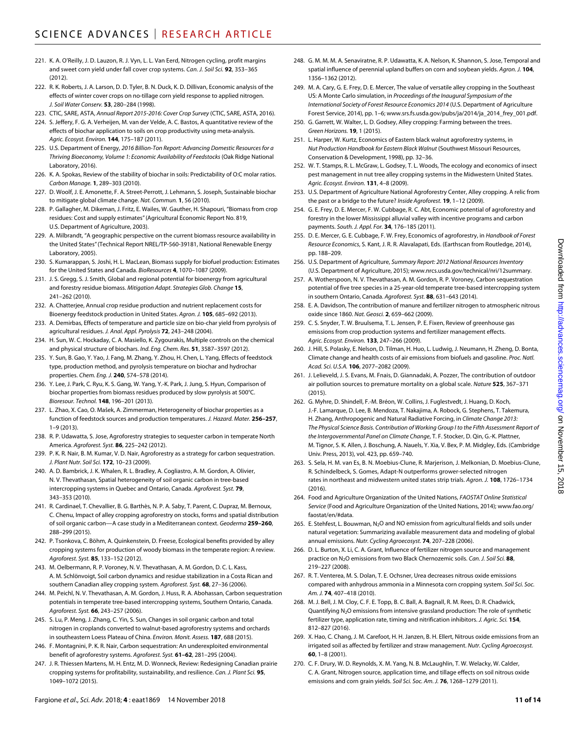- 221. K. A. O'Reilly, J. D. Lauzon, R. J. Vyn, L. L. Van Eerd, Nitrogen cycling, profit margins and sweet corn yield under fall cover crop systems. *Can. J. Soil Sci.* **92**, 353–365  $(2012)$
- 222. R. K. Roberts, J. A. Larson, D. D. Tyler, B. N. Duck, K. D. Dillivan, Economic analysis of the effects of winter cover crops on no-tillage corn yield response to applied nitrogen. *J. Soil Water Conserv.* **53**, 280–284 (1998).
- 223. CTIC, SARE, ASTA, *Annual Report 2015-2016: Cover Crop Survey* (CTIC, SARE, ASTA, 2016).
- 224. S. Jeffery, F. G. A. Verheijen, M. van der Velde, A. C. Bastos, A quantitative review of the effects of biochar application to soils on crop productivity using meta-analysis. *Agric. Ecosyst. Environ.* **144**, 175–187 (2011).
- 225. U.S. Department of Energy, *2016 Billion-Ton Report: Advancing Domestic Resources for a Thriving Bioeconomy, Volume 1: Economic Availability of Feedstocks* (Oak Ridge National Laboratory, 2016).
- 226. K. A. Spokas, Review of the stability of biochar in soils: Predictability of O:C molar ratios. *Carbon Manage.* **1**, 289–303 (2010).
- 227. D. Woolf, J. E. Amonette, F. A. Street-Perrott, J. Lehmann, S. Joseph, Sustainable biochar to mitigate global climate change. *Nat. Commun.* **1**, 56 (2010).
- 228. P. Gallagher, M. Dikeman, J. Fritz, E. Wailes, W. Gauther, H. Shapouri, "Biomass from crop residues: Cost and supply estimates" (Agricultural Economic Report No. 819, U.S. Department of Agriculture, 2003).
- 229. A. Milbrandt, "A geographic perspective on the current biomass resource availability in the United States" (Technical Report NREL/TP-560-39181, National Renewable Energy Laboratory, 2005).
- 230. S. Kumarappan, S. Joshi, H. L. MacLean, Biomass supply for biofuel production: Estimates for the United States and Canada. *BioResources* **4**, 1070–1087 (2009).
- 231. J. S. Gregg, S. J. Smith, Global and regional potential for bioenergy from agricultural and forestry residue biomass. *Mitigation Adapt. Strategies Glob. Change* **15**, 241–262 (2010).
- 232. A. Chatterjee, Annual crop residue production and nutrient replacement costs for Bioenergy feedstock production in United States. *Agron. J.* **105**, 685–692 (2013).
- 233. A. Demirbas, Effects of temperature and particle size on bio-char yield from pyrolysis of agricultural residues. *J. Anal. Appl. Pyrolysis* **72**, 243–248 (2004).
- 234. H. Sun, W. C. Hockaday, C. A. Masiello, K. Zygourakis, Multiple controls on the chemical and physical structure of biochars. *Ind. Eng. Chem. Res.* **51**, 3587–3597 (2012).
- 235. Y. Sun, B. Gao, Y. Yao, J. Fang, M. Zhang, Y. Zhou, H. Chen, L. Yang, Effects of feedstock type, production method, and pyrolysis temperature on biochar and hydrochar properties. *Chem. Eng. J.* **240**, 574–578 (2014).
- 236. Y. Lee, J. Park, C. Ryu, K. S. Gang, W. Yang, Y.-K. Park, J. Jung, S. Hyun, Comparison of biochar properties from biomass residues produced by slow pyrolysis at 500°C. *Bioresour. Technol.* **148**, 196–201 (2013).
- 237. L. Zhao, X. Cao, O. Mašek, A. Zimmerman, Heterogeneity of biochar properties as a function of feedstock sources and production temperatures. *J. Hazard. Mater.* **256–257**, 1–9 (2013).
- 238. R. P. Udawatta, S. Jose, Agroforestry strategies to sequester carbon in temperate North America. *Agroforest. Syst.* **86**, 225–242 (2012).
- 239. P. K. R. Nair, B. M. Kumar, V. D. Nair, Agroforestry as a strategy for carbon sequestration. *J. Plant Nutr. Soil Sci.* **172**, 10–23 (2009).
- 240. A. D. Bambrick, J. K. Whalen, R. L. Bradley, A. Cogliastro, A. M. Gordon, A. Olivier, N. V. Thevathasan, Spatial heterogeneity of soil organic carbon in tree-based intercropping systems in Quebec and Ontario, Canada. *Agroforest. Syst.* **79**, 343–353 (2010).
- 241. R. Cardinael, T. Chevallier, B. G. Barthès, N. P. A. Saby, T. Parent, C. Dupraz, M. Bernoux, C. Chenu, Impact of alley cropping agroforestry on stocks, forms and spatial distribution of soil organic carbon—A case study in a Mediterranean context. *Geoderma* **259–260**, 288–299 (2015).
- 242. P. Tsonkova, C. Böhm, A. Quinkenstein, D. Freese, Ecological benefits provided by alley cropping systems for production of woody biomass in the temperate region: A review. *Agroforest. Syst.* **85**, 133–152 (2012).
- 243. M. Oelbermann, R. P. Voroney, N. V. Thevathasan, A. M. Gordon, D. C. L. Kass, A. M. Schlönvoigt, Soil carbon dynamics and residue stabilization in a Costa Rican and southern Canadian alley cropping system. *Agroforest. Syst.* **68**, 27–36 (2006).
- 244. M. Peichl, N. V. Thevathasan, A. M. Gordon, J. Huss, R. A. Abohassan, Carbon sequestration potentials in temperate tree-based intercropping systems, Southern Ontario, Canada. *Agroforest. Syst.* **66**, 243–257 (2006).
- 245. S. Lu, P. Meng, J. Zhang, C. Yin, S. Sun, Changes in soil organic carbon and total nitrogen in croplands converted to walnut-based agroforestry systems and orchards in southeastern Loess Plateau of China. *Environ. Monit. Assess.* **187**, 688 (2015).
- 246. F. Montagnini, P. K. R. Nair, Carbon sequestration: An underexploited environmental benefit of agroforestry systems. *Agroforest. Syst.* **61–62**, 281–295 (2004).
- 247. J. R. Thiessen Martens, M. H. Entz, M. D. Wonneck, Review: Redesigning Canadian prairie cropping systems for profitability, sustainability, and resilience. *Can. J. Plant Sci.* **95**, 1049–1072 (2015).
- 248. G. M. M. M. A. Senaviratne, R. P. Udawatta, K. A. Nelson, K. Shannon, S. Jose, Temporal and spatial influence of perennial upland buffers on corn and soybean yields. *Agron. J.* **104**, 1356–1362 (2012).
- 249. M. A. Cary, G. E. Frey, D. E. Mercer, The value of versatile alley cropping in the Southeast US: A Monte Carlo simulation, in *Proceedings of the Inaugural Symposium of the International Society of Forest Resource Economics 2014* (U.S. Department of Agriculture Forest Service, 2014), pp. 1–6; [www.srs.fs.usda.gov/pubs/ja/2014/ja\\_2014\\_frey\\_001.pdf](http://www.srs.fs.usda.gov/pubs/ja/2014/ja_2014_frey_001.pdf).
- 250. G. Garrett, W. Walter, L. D. Godsey, Alley cropping: Farming between the trees. *Green Horizons.* **19**, 1 (2015).
- 251. L. Harper, W. Kurtz, Economics of Eastern black walnut agroforestry systems, in *Nut Production Handbook for Eastern Black Walnut* (Southwest Missouri Resources, Conservation & Development, 1998), pp. 32–36.
- 252. W. T. Stamps, R. L. McGraw, L. Godsey, T. L. Woods, The ecology and economics of insect pest management in nut tree alley cropping systems in the Midwestern United States. *Agric. Ecosyst. Environ.* **131**, 4–8 (2009).
- 253. U.S. Department of Agriculture National Agroforestry Center, Alley cropping. A relic from the past or a bridge to the future? *Inside Agroforest.* **19**, 1–12 (2009).
- 254. G. E. Frey, D. E. Mercer, F. W. Cubbage, R. C. Abt, Economic potential of agroforestry and forestry in the lower Mississippi alluvial valley with incentive programs and carbon payments. *South. J. Appl. For.* **34**, 176–185 (2011).
- 255. D. E. Mercer, G. E. Cubbage, F. W. Frey, Economics of agroforestry, in *Handbook of Forest Resource Economics*, S. Kant, J. R. R. Alavalapati, Eds. (Earthscan from Routledge, 2014), pp. 188–209.
- 256. U.S. Department of Agriculture, *Summary Report: 2012 National Resources Inventory* (U.S. Department of Agriculture, 2015); [www.nrcs.usda.gov/technical/nri/12summary](http://www.nrcs.usda.gov/technical/nri/12summary).
- 257. A. Wotherspoon, N. V. Thevathasan, A. M. Gordon, R. P. Voroney, Carbon sequestration potential of five tree species in a 25-year-old temperate tree-based intercropping system in southern Ontario, Canada. *Agroforest. Syst.* **88**, 631–643 (2014).
- 258. E. A. Davidson, The contribution of manure and fertilizer nitrogen to atmospheric nitrous oxide since 1860. *Nat. Geosci.* **2**, 659–662 (2009).
- 259. C. S. Snyder, T. W. Bruulsema, T. L. Jensen, P. E. Fixen, Review of greenhouse gas emissions from crop production systems and fertilizer management effects. *Agric. Ecosyst. Environ.* **133**, 247–266 (2009).
- 260. J. Hill, S. Polasky, E. Nelson, D. Tilman, H. Huo, L. Ludwig, J. Neumann, H. Zheng, D. Bonta, Climate change and health costs of air emissions from biofuels and gasoline. *Proc. Natl. Acad. Sci. U.S.A.* **106**, 2077–2082 (2009).
- 261. J. Lelieveld, J. S. Evans, M. Fnais, D. Giannadaki, A. Pozzer, The contribution of outdoor air pollution sources to premature mortality on a global scale. *Nature* **525**, 367–371 (2015).
- 262. G. Myhre, D. Shindell, F.-M. Bréon, W. Collins, J. Fuglestvedt, J. Huang, D. Koch, J.-F. Lamarque, D. Lee, B. Mendoza, T. Nakajima, A. Robock, G. Stephens, T. Takemura, H. Zhang, Anthropogenic and Natural Radiative Forcing, in *Climate Change 2013: The Physical Science Basis. Contribution of Working Group I to the Fifth Assessment Report of the Intergovernmental Panel on Climate Change*, T. F. Stocker, D. Qin, G.-K. Plattner, M. Tignor, S. K. Allen, J. Boschung, A. Nauels, Y. Xia, V. Bex, P. M. Midgley, Eds. (Cambridge Univ. Press, 2013), vol. 423, pp. 659–740.
- 263. S. Sela, H. M. van Es, B. N. Moebius-Clune, R. Marjerison, J. Melkonian, D. Moebius-Clune, R. Schindelbeck, S. Gomes, Adapt-N outperforms grower-selected nitrogen rates in northeast and midwestern united states strip trials. *Agron. J.* **108**, 1726–1734 (2016).
- 264. Food and Agriculture Organization of the United Nations, *FAOSTAT Online Statistical Service* (Food and Agriculture Organization of the United Nations, 2014); [www.fao.org/](http://www.fao.org/faostat/en/#data) [faostat/en/#data](http://www.fao.org/faostat/en/#data).
- 265. E. Stehfest, L. Bouwman, N<sub>2</sub>O and NO emission from agricultural fields and soils under natural vegetation: Summarizing available measurement data and modeling of global annual emissions. *Nutr. Cycling Agroecosyst.* **74**, 207–228 (2006).
- 266. D. L. Burton, X. Li, C. A. Grant, Influence of fertilizer nitrogen source and management practice on N2O emissions from two Black Chernozemic soils. *Can. J. Soil Sci.* **88**, 219–227 (2008).
- 267. R. T. Venterea, M. S. Dolan, T. E. Ochsner, Urea decreases nitrous oxide emissions compared with anhydrous ammonia in a Minnesota corn cropping system. *Soil Sci. Soc. Am. J.* **74**, 407–418 (2010).
- 268. M. J. Bell, J. M. Cloy, C. F. E. Topp, B. C. Ball, A. Bagnall, R. M. Rees, D. R. Chadwick, Quantifying N<sub>2</sub>O emissions from intensive grassland production: The role of synthetic fertilizer type, application rate, timing and nitrification inhibitors. *J. Agric. Sci.* **154**, 812–827 (2016).
- 269. X. Hao, C. Chang, J. M. Carefoot, H. H. Janzen, B. H. Ellert, Nitrous oxide emissions from an irrigated soil as affected by fertilizer and straw management. *Nutr. Cycling Agroecosyst.* **60**, 1–8 (2001).
- 270. C. F. Drury, W. D. Reynolds, X. M. Yang, N. B. McLaughlin, T. W. Welacky, W. Calder, C. A. Grant, Nitrogen source, application time, and tillage effects on soil nitrous oxide emissions and corn grain yields. *Soil Sci. Soc. Am. J.* **76**, 1268–1279 (2011).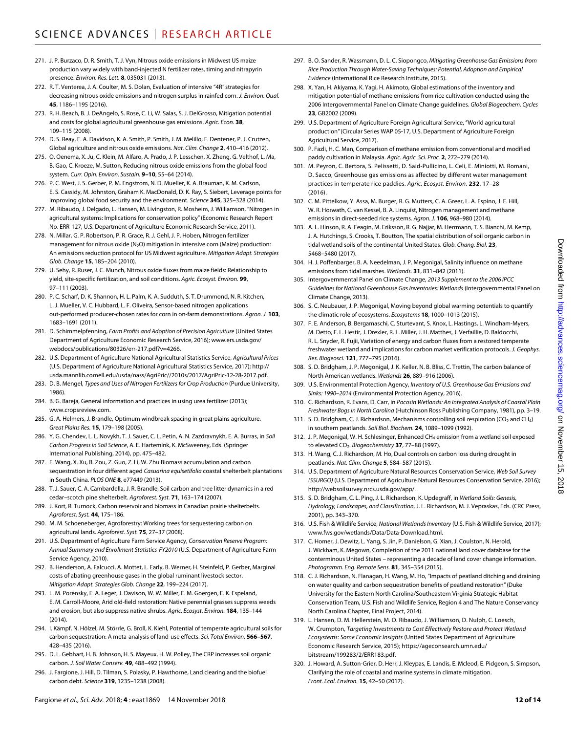- 271. J. P. Burzaco, D. R. Smith, T. J. Vyn, Nitrous oxide emissions in Midwest US maize production vary widely with band-injected N fertilizer rates, timing and nitrapyrin presence. *Environ. Res. Lett.* **8**, 035031 (2013).
- 272. R. T. Venterea, J. A. Coulter, M. S. Dolan, Evaluation of intensive "4R" strategies for decreasing nitrous oxide emissions and nitrogen surplus in rainfed corn. *J. Environ. Qual.* **45**, 1186–1195 (2016).
- 273. R. H. Beach, B. J. DeAngelo, S. Rose, C. Li, W. Salas, S. J. DelGrosso, Mitigation potential and costs for global agricultural greenhouse gas emissions. *Agric. Econ.* **38**, 109–115 (2008).
- 274. D. S. Reay, E. A. Davidson, K. A. Smith, P. Smith, J. M. Melillo, F. Dentener, P. J. Crutzen, Global agriculture and nitrous oxide emissions. *Nat. Clim. Change* **2**, 410–416 (2012).
- 275. O. Oenema, X. Ju, C. Klein, M. Alfaro, A. Prado, J. P. Lesschen, X. Zheng, G. Velthof, L. Ma, B. Gao, C. Kroeze, M. Sutton, Reducing nitrous oxide emissions from the global food system. *Curr. Opin. Environ. Sustain.* **9–10**, 55–64 (2014).
- 276. P. C. West, J. S. Gerber, P. M. Engstrom, N. D. Mueller, K. A. Brauman, K. M. Carlson, E. S. Cassidy, M. Johnston, Graham K. MacDonald, D. K. Ray, S. Siebert, Leverage points for improving global food security and the environment. *Science* **345**, 325–328 (2014).
- 277. M. Ribaudo, J. Delgado, L. Hansen, M. Livingston, R. Mosheim, J. Williamson, "Nitrogen in agricultural systems: Implications for conservation policy" (Economic Research Report No. ERR-127, U.S. Department of Agriculture Economic Research Service, 2011).
- 278. N. Millar, G. P. Robertson, P. R. Grace, R. J. Gehl, J. P. Hoben, Nitrogen fertilizer management for nitrous oxide (N<sub>2</sub>O) mitigation in intensive corn (Maize) production: An emissions reduction protocol for US Midwest agriculture. *Mitigation Adapt. Strategies Glob. Change* **15**, 185–204 (2010).
- 279. U. Sehy, R. Ruser, J. C. Munch, Nitrous oxide fluxes from maize fields: Relationship to yield, site-specific fertilization, and soil conditions. *Agric. Ecosyst. Environ.* **99**, 97–111 (2003).
- 280. P. C. Scharf, D. K. Shannon, H. L. Palm, K. A. Sudduth, S. T. Drummond, N. R. Kitchen, L. J. Mueller, V. C. Hubbard, L. F. Oliveira, Sensor-based nitrogen applications out-performed producer-chosen rates for corn in on-farm demonstrations. *Agron. J.* **103**, 1683–1691 (2011).
- 281. D. Schimmelpfenning, *Farm Profits and Adoption of Precision Agriculture* (United States Department of Agriculture Economic Research Service, 2016); [www.ers.usda.gov/](http://www.ers.usda.gov/webdocs/publications/80326/err-217.pdf?v=4266) [webdocs/publications/80326/err-217.pdf?v=4266](http://www.ers.usda.gov/webdocs/publications/80326/err-217.pdf?v=4266).
- 282. U.S. Department of Agriculture National Agricultural Statistics Service, *Agricultural Prices* (U.S. Department of Agriculture National Agricultural Statistics Service, 2017); [http://](http://usda.mannlib.cornell.edu/usda/nass/AgriPric//2010s/2017/AgriPric-12-28-2017.pdf) [usda.mannlib.cornell.edu/usda/nass/AgriPric//2010s/2017/AgriPric-12-28-2017.pdf](http://usda.mannlib.cornell.edu/usda/nass/AgriPric//2010s/2017/AgriPric-12-28-2017.pdf).
- 283. D. B. Mengel, *Types and Uses of Nitrogen Fertilizers for Crop Production* (Purdue University, 1986).
- 284. B. G. Bareja, General information and practices in using urea fertilizer (2013); [www.cropsreview.com.](http://www.cropsreview.com)
- 285. G. A. Helmers, J. Brandle, Optimum windbreak spacing in great plains agriculture. *Great Plains Res.* **15**, 179–198 (2005).
- 286. Y. G. Chendev, L. L. Novykh, T. J. Sauer, C. L. Petin, A. N. Zazdravnykh, E. A. Burras, in *Soil Carbon Progress in Soil Science*, A. E. Hartemink, K. McSweeney, Eds. (Springer International Publishing, 2014), pp. 475–482.
- 287. F. Wang, X. Xu, B. Zou, Z. Guo, Z. Li, W. Zhu Biomass accumulation and carbon sequestration in four different aged *Casuarina equisetifolia* coastal shelterbelt plantations in South China. *PLOS ONE* **8**, e77449 (2013).
- 288. T. J. Sauer, C. A. Cambardella, J. R. Brandle, Soil carbon and tree litter dynamics in a red cedar–scotch pine shelterbelt. *Agroforest. Syst.* **71**, 163–174 (2007).
- 289. J. Kort, R. Turnock, Carbon reservoir and biomass in Canadian prairie shelterbelts. *Agroforest. Syst.* **44**, 175–186.
- 290. M. M. Schoeneberger, Agroforestry: Working trees for sequestering carbon on agricultural lands. *Agroforest. Syst.* **75**, 27–37 (2008).
- 291. U.S. Department of Agriculture Farm Service Agency, *Conservation Reserve Program: Annual Summary and Enrollment Statistics-FY2010* (U.S. Department of Agriculture Farm Service Agency, 2010).
- 292. B. Henderson, A. Falcucci, A. Mottet, L. Early, B. Werner, H. Steinfeld, P. Gerber, Marginal costs of abating greenhouse gases in the global ruminant livestock sector. *Mitigation Adapt. Strategies Glob. Change* **22**, 199–224 (2017).
- 293. L. M. Porensky, E. A. Leger, J. Davison, W. W. Miller, E. M. Goergen, E. K. Espeland, E. M. Carroll-Moore, Arid old-field restoration: Native perennial grasses suppress weeds and erosion, but also suppress native shrubs. *Agric. Ecosyst. Environ.* **184**, 135–144  $(2014)$
- 294. I. Kämpf, N. Hölzel, M. Störrle, G. Broll, K. Kiehl, Potential of temperate agricultural soils for carbon sequestration: A meta-analysis of land-use effects. *Sci. Total Environ.* **566–567**, 428–435 (2016).
- 295. D. L. Gebhart, H. B. Johnson, H. S. Mayeux, H. W. Polley, The CRP increases soil organic carbon. *J. Soil Water Conserv.* **49**, 488–492 (1994).
- 296. J. Fargione, J. Hill, D. Tilman, S. Polasky, P. Hawthorne, Land clearing and the biofuel carbon debt. *Science* **319**, 1235–1238 (2008).
- 297. B. O. Sander, R. Wassmann, D. L. C. Siopongco, *Mitigating Greenhouse Gas Emissions from Rice Production Through Water-Saving Techniques: Potential, Adoption and Empirical Evidence* (International Rice Research Institute, 2015).
- 298. X. Yan, H. Akiyama, K. Yagi, H. Akimoto, Global estimations of the inventory and mitigation potential of methane emissions from rice cultivation conducted using the 2006 Intergovernmental Panel on Climate Change guidelines. *Global Biogeochem. Cycles* **23**, GB2002 (2009).
- 299. U.S. Department of Agriculture Foreign Agricultural Service, "World agricultural production" (Circular Series WAP 05-17, U.S. Department of Agriculture Foreign Agricultural Service, 2017).
- 300. P. Fazli, H. C. Man, Comparison of methane emission from conventional and modified paddy cultivation in Malaysia. *Agric. Agric. Sci. Proc.* **2**, 272–279 (2014).
- 301. M. Peyron, C. Bertora, S. Pelissetti, D. Said-Pullicino, L. Celi, E. Miniotti, M. Romani, D. Sacco, Greenhouse gas emissions as affected by different water management practices in temperate rice paddies. *Agric. Ecosyst. Environ.* **232**, 17–28 (2016).
- 302. C. M. Pittelkow, Y. Assa, M. Burger, R. G. Mutters, C. A. Greer, L. A. Espino, J. E. Hill, W. R. Horwath, C. van Kessel, B. A. Linquist, Nitrogen management and methane emissions in direct-seeded rice systems. *Agron. J.* **106**, 968–980 (2014).
- 303. A. L. Hinson, R. A. Feagin, M. Eriksson, R. G. Najjar, M. Herrmann, T. S. Bianchi, M. Kemp, J. A. Hutchings, S. Crooks, T. Boutton, The spatial distribution of soil organic carbon in tidal wetland soils of the continental United States. *Glob. Chang. Biol.* **23**, 5468–5480 (2017).
- 304. H. J. Poffenbarger, B. A. Needelman, J. P. Megonigal, Salinity influence on methane emissions from tidal marshes. *Wetlands.* **31**, 831–842 (2011).
- 305. Intergovernmental Panel on Climate Change, *2013 Supplement to the 2006 IPCC Guidelines for National Greenhouse Gas Inventories: Wetlands* (Intergovernmental Panel on Climate Change, 2013).
- 306. S. C. Neubauer, J. P. Megonigal, Moving beyond global warming potentials to quantify the climatic role of ecosystems. *Ecosystems* **18**, 1000–1013 (2015).
- 307. F. E. Anderson, B. Bergamaschi, C. Sturtevant, S. Knox, L. Hastings, L. Windham-Myers, M. Detto, E. L. Hestir, J. Drexler, R. L. Miller, J. H. Matthes, J. Verfaillie, D. Baldocchi, R. L. Snyder, R. Fujii, Variation of energy and carbon fluxes from a restored temperate freshwater wetland and implications for carbon market verification protocols. *J. Geophys. Res. Biogeosci.* **121**, 777–795 (2016).
- 308. S. D. Bridgham, J. P. Megonigal, J. K. Keller, N. B. Bliss, C. Trettin, The carbon balance of North American wetlands. *Wetlands* **26**, 889–916 (2006).
- 309. U.S. Environmental Protection Agency, *Inventory of U.S. Greenhouse Gas Emissions and Sinks: 1990–2014* (Environmental Protection Agency, 2016).
- 310. C. Richardson, R. Evans, D. Carr, in *Pocosin Wetlands: An Integrated Analysis of Coastal Plain Freshwater Bogs in North Carolina* (Hutchinson Ross Publishing Company, 1981), pp. 3–19.
- 311. S. D. Bridgham, C. J. Richardson, Mechanisms controlling soil respiration (CO<sub>2</sub> and CH<sub>4</sub>) in southern peatlands. *Soil Biol. Biochem.* **24**, 1089–1099 (1992).
- 312. J. P. Megonigal, W. H. Schlesinger, Enhanced CH<sub>4</sub> emission from a wetland soil exposed to elevated CO2. *Biogeochemistry* **37**, 77–88 (1997).
- 313. H. Wang, C. J. Richardson, M. Ho, Dual controls on carbon loss during drought in peatlands. *Nat. Clim. Change* **5**, 584–587 (2015).
- 314. U.S. Department of Agriculture Natural Resources Conservation Service, *Web Soil Survey (SSURGO)* (U.S. Department of Agriculture Natural Resources Conservation Service, 2016); [http://websoilsurvey.nrcs.usda.gov/app/.](http://websoilsurvey.nrcs.usda.gov/app/)
- 315. S. D. Bridgham, C. L. Ping, J. L. Richardson, K. Updegraff, in *Wetland Soils: Genesis, Hydrology, Landscapes, and Classification*, J. L. Richardson, M. J. Vepraskas, Eds. (CRC Press, 2001), pp. 343–370.
- 316. U.S. Fish & Wildlife Service, *National Wetlands Inventory* (U.S. Fish & Wildlife Service, 2017); [www.fws.gov/wetlands/Data/Data-Download.html.](http://www.fws.gov/wetlands/Data/Data-Download.html)
- 317. C. Homer, J. Dewitz, L. Yang, S. Jin, P. Danielson, G. Xian, J. Coulston, N. Herold, J. Wickham, K. Megown, Completion of the 2011 national land cover database for the conterminous United States – representing a decade of land cover change information. *Photogramm. Eng. Remote Sens.* **81**, 345–354 (2015).
- 318. C. J. Richardson, N. Flanagan, H. Wang, M. Ho, "Impacts of peatland ditching and draining on water quality and carbon sequestration benefits of peatland restoration" (Duke University for the Eastern North Carolina/Southeastern Virginia Strategic Habitat Conservation Team, U.S. Fish and Wildlife Service, Region 4 and The Nature Conservancy North Carolina Chapter, Final Project, 2014).
- 319. L. Hansen, D. M. Hellerstein, M. O. Ribaudo, J. Williamson, D. Nulph, C. Loesch, W. Crumpton, *Targeting Investments to Cost Effectively Restore and Protect Wetland Ecosystems: Some Economic Insights* (United States Department of Agriculture Economic Research Service, 2015); [https://ageconsearch.umn.edu/](https://ageconsearch.umn.edu/bitstream/199283/2/ERR183.pdf) [bitstream/199283/2/ERR183.pdf](https://ageconsearch.umn.edu/bitstream/199283/2/ERR183.pdf).
- 320. J. Howard, A. Sutton-Grier, D. Herr, J. Kleypas, E. Landis, E. Mcleod, E. Pidgeon, S. Simpson, Clarifying the role of coastal and marine systems in climate mitigation. *Front. Ecol. Environ.* **15**, 42–50 (2017).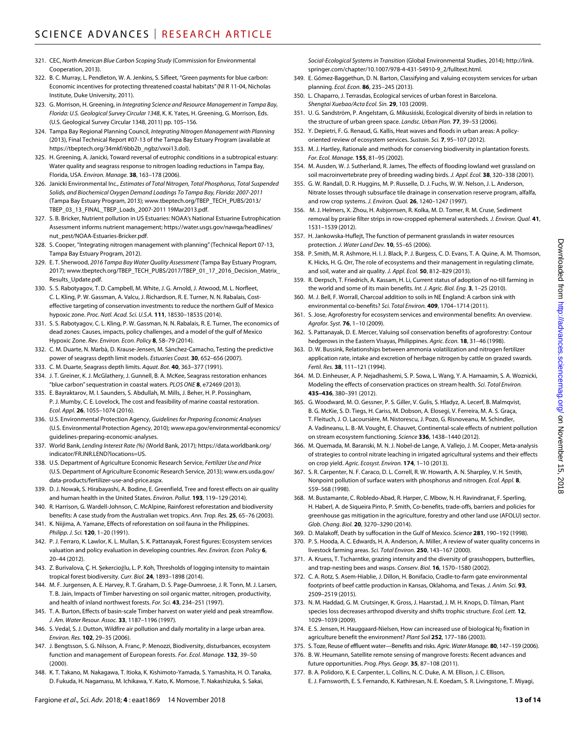- 321. CEC, *North American Blue Carbon Scoping Study* (Commission for Environmental Cooperation, 2013).
- 322. B. C. Murray, L. Pendleton, W. A. Jenkins, S. Sifleet, "Green payments for blue carbon: Economic incentives for protecting threatened coastal habitats" (NI R 11-04, Nicholas Institute, Duke University, 2011).
- 323. G. Morrison, H. Greening, in *Integrating Science and Resource Management in Tampa Bay, Florida: U.S. Geological Survey Circular 1348*, K. K. Yates, H. Greening, G. Morrison, Eds. (U.S. Geological Survey Circular 1348, 2011) pp. 105–156.
- 324. Tampa Bay Regional Planning Council, *Integrating Nitrogen Management with Planning* (2013), Final Technical Report #07-13 of the Tampa Bay Estuary Program (available at [https://tbeptech.org/34mkf/6bb2b\\_ngbz/vxoi13.dol\)](https://tbeptech.org/34mkf/6bb2b_ngbz/vxoi13.dol).
- 325. H. Greening, A. Janicki, Toward reversal of eutrophic conditions in a subtropical estuary: Water quality and seagrass response to nitrogen loading reductions in Tampa Bay, Florida, USA. *Environ. Manage.* **38**, 163–178 (2006).
- 326. Janicki Environmental Inc., *Estimates of Total Nitrogen, Total Phosphorus, Total Suspended Solids, and Biochemical Oxygen Demand Loadings To Tampa Bay, Florida: 2007-2011* (Tampa Bay Estuary Program, 2013); [www.tbeptech.org/TBEP\\_TECH\\_PUBS/2013/](http://www.tbeptech.org/TBEP_TECH_PUBS/2013/TBEP_03_13_FINAL_TBEP_Loads_2007-2011 19Mar2013.pdf) [TBEP\\_03\\_13\\_FINAL\\_TBEP\\_Loads\\_2007-2011 19Mar2013.pdf.](http://www.tbeptech.org/TBEP_TECH_PUBS/2013/TBEP_03_13_FINAL_TBEP_Loads_2007-2011 19Mar2013.pdf)
- 327. S. B. Bricker, Nutrient pollution in US Estuaries: NOAA's National Estuarine Eutrophication Assessment informs nutrient management; [https://water.usgs.gov/nawqa/headlines/](https://water.usgs.gov/nawqa/headlines/nut_pest/NOAA-Estuaries-Bricker.pdf) [nut\\_pest/NOAA-Estuaries-Bricker.pdf](https://water.usgs.gov/nawqa/headlines/nut_pest/NOAA-Estuaries-Bricker.pdf).
- 328. S. Cooper, "Integrating nitrogen management with planning" (Technical Report 07-13, Tampa Bay Estuary Program, 2012).
- 329. E. T. Sherwood, *2016 Tampa Bay Water Quality Assessment* (Tampa Bay Estuary Program, 2017); [www.tbeptech.org/TBEP\\_TECH\\_PUBS/2017/TBEP\\_01\\_17\\_2016\\_Decision\\_Matrix\\_](http://www.tbeptech.org/TBEP_TECH_PUBS/2017/TBEP_01_17_2016_Decision_Matrix_Results_Update.pdf) [Results\\_Update.pdf](http://www.tbeptech.org/TBEP_TECH_PUBS/2017/TBEP_01_17_2016_Decision_Matrix_Results_Update.pdf).
- 330. S. S. Rabotyagov, T. D. Campbell, M. White, J. G. Arnold, J. Atwood, M. L. Norfleet, C. L. Kling, P. W. Gassman, A. Valcu, J. Richardson, R. E. Turner, N. N. Rabalais, Costeffective targeting of conservation investments to reduce the northern Gulf of Mexico hypoxic zone. *Proc. Natl. Acad. Sci. U.S.A.* **111**, 18530–18535 (2014).
- 331. S. S. Rabotyagov, C. L. Kling, P. W. Gassman, N. N. Rabalais, R. E. Turner, The economics of dead zones: Causes, impacts, policy challenges, and a model of the gulf of Mexico Hypoxic Zone. *Rev. Environ. Econ. Policy* **8**, 58–79 (2014).
- 332. C. M. Duarte, N. Marbà, D. Krause-Jensen, M. Sánchez-Camacho, Testing the predictive power of seagrass depth limit models. *Estuaries Coast.* **30**, 652–656 (2007).
- 333. C. M. Duarte, Seagrass depth limits. *Aquat. Bot.* **40**, 363–377 (1991).
- 334. J. T. Greiner, K. J. McGlathery, J. Gunnell, B. A. McKee, Seagrass restoration enhances "blue carbon" sequestration in coastal waters. *PLOS ONE* **8**, e72469 (2013).
- 335. E. Bayraktarov, M. I. Saunders, S. Abdullah, M. Mills, J. Beher, H. P. Possingham, P. J. Mumby, C. E. Lovelock, The cost and feasibility of marine coastal restoration. *Ecol. Appl.* **26**, 1055–1074 (2016).
- 336. U.S. Environmental Protection Agency, *Guidelines for Preparing Economic Analyses* (U.S. Environmental Protection Agency, 2010); [www.epa.gov/environmental-economics/](http://www.epa.gov/environmental-economics/guidelines-preparing-economic-analyses) [guidelines-preparing-economic-analyses.](http://www.epa.gov/environmental-economics/guidelines-preparing-economic-analyses)
- 337. World Bank, *Lending Interest Rate (%)* (World Bank, 2017); [https://data.worldbank.org/](https://data.worldbank.org/indicator/FR.INR.LEND?locations=US) [indicator/FR.INR.LEND?locations=US](https://data.worldbank.org/indicator/FR.INR.LEND?locations=US).
- 338. U.S. Department of Agriculture Economic Research Service, *Fertilizer Use and Price* (U.S. Department of Agriculture Economic Research Service, 2013); [www.ers.usda.gov/](http://www.ers.usda.gov/data-products/fertilizer-use-and-price.aspx) [data-products/fertilizer-use-and-price.aspx.](http://www.ers.usda.gov/data-products/fertilizer-use-and-price.aspx)
- 339. D. J. Nowak, S. Hirabayashi, A. Bodine, E. Greenfield, Tree and forest effects on air quality and human health in the United States. *Environ. Pollut.* **193**, 119–129 (2014).
- 340. R. Harrison, G. Wardell-Johnson, C. McAlpine, Rainforest reforestation and biodiversity benefits: A case study from the Australian wet tropics. *Ann. Trop. Res.* **25**, 65–76 (2003).
- 341. K. Niijima, A. Yamane, Effects of reforestation on soil fauna in the Philippines. *Philipp. J. Sci.* **120**, 1–20 (1991).
- 342. P. J. Ferraro, K. Lawlor, K. L. Mullan, S. K. Pattanayak, Forest figures: Ecosystem services valuation and policy evaluation in developing countries. *Rev. Environ. Econ. Policy* **6**, 20–44 (2012).
- 343. Z. Burivalova, Ç. H. Şekercioğlu, L. P. Koh, Thresholds of logging intensity to maintain tropical forest biodiversity. *Curr. Biol.* **24**, 1893–1898 (2014).
- 344. M. F. Jurgensen, A. E. Harvey, R. T. Graham, D. S. Page-Dumroese, J. R. Tonn, M. J. Larsen, T. B. Jain, Impacts of Timber harvesting on soil organic matter, nitrogen, productivity, and health of inland northwest forests. *For. Sci.* **43**, 234–251 (1997).
- 345. T. A. Burton, Effects of basin-scale Timber harvest on water yield and peak streamflow. *J. Am. Water Resour. Assoc.* **33**, 1187–1196 (1997).
- 346. S. Vedal, S. J. Dutton, Wildfire air pollution and daily mortality in a large urban area. *Environ. Res.* **102**, 29–35 (2006).
- 347. J. Bengtsson, S. G. Nilsson, A. Franc, P. Menozzi, Biodiversity, disturbances, ecosystem function and management of European forests. *For. Ecol. Manage.* **132**, 39–50 (2000).
- 348. K. T. Takano, M. Nakagawa, T. Itioka, K. Kishimoto-Yamada, S. Yamashita, H. O. Tanaka, D. Fukuda, H. Nagamasu, M. Ichikawa, Y. Kato, K. Momose, T. Nakashizuka, S. Sakai,

*Social-Ecological Systems in Transition* (Global Environmental Studies, 2014); [http://link.](http://link.springer.com/chapter/10.1007/978-4-431-54910-9_2/fulltext.html) [springer.com/chapter/10.1007/978-4-431-54910-9\\_2/fulltext.html](http://link.springer.com/chapter/10.1007/978-4-431-54910-9_2/fulltext.html).

- 349. E. Gómez-Baggethun, D. N. Barton, Classifying and valuing ecosystem services for urban planning. *Ecol. Econ.* **86**, 235–245 (2013).
- 350. L. Chaparro, J. Terrasdas, Ecological services of urban forest in Barcelona. *Shengtai Xuebao/Acta Ecol. Sin.* **29**, 103 (2009).
- 351. U. G. Sandström, P. Angelstam, G. Mikusiński, Ecological diversity of birds in relation to the structure of urban green space. *Landsc. Urban Plan.* **77**, 39–53 (2006).
- 352. Y. Depietri, F. G. Renaud, G. Kallis, Heat waves and floods in urban areas: A policyoriented review of ecosystem services. *Sustain. Sci.* **7**, 95–107 (2012).
- 353. M. J. Hartley, Rationale and methods for conserving biodiversity in plantation forests. *For. Ecol. Manage.* **155**, 81–95 (2002).
- 354. M. Ausden, W. J. Sutherland, R. James, The effects of flooding lowland wet grassland on soil macroinvertebrate prey of breeding wading birds. *J. Appl. Ecol.* **38**, 320–338 (2001).
- 355. G. W. Randall, D. R. Huggins, M. P. Russelle, D. J. Fuchs, W. W. Nelson, J. L. Anderson, Nitrate losses through subsurface tile drainage in conservation reserve program, alfalfa, and row crop systems. *J. Environ. Qual.* **26**, 1240–1247 (1997).
- 356. M. J. Helmers, X. Zhou, H. Asbjornsen, R. Kolka, M. D. Tomer, R. M. Cruse, Sediment removal by prairie filter strips in row-cropped ephemeral watersheds. *J. Environ. Qual.* **41**, 1531–1539 (2012).
- 357. H. Jankowska-Huflejt, The function of permanent grasslands in water resources protection. *J. Water Land Dev.* **10**, 55–65 (2006).
- 358. P. Smith, M. R. Ashmore, H. I. J. Black, P. J. Burgess, C. D. Evans, T. A. Quine, A. M. Thomson, K. Hicks, H. G. Orr, The role of ecosystems and their management in regulating climate, and soil, water and air quality. *J. Appl. Ecol.* **50**, 812–829 (2013).
- 359. R. Derpsch, T. Friedrich, A. Kassam, H. Li, Current status of adoption of no-till farming in the world and some of its main benefits. *Int. J. Agric. Biol. Eng.* **3**, 1–25 (2010).
- 360. M. J. Bell, F. Worrall, Charcoal addition to soils in NE England: A carbon sink with environmental co-benefits? *Sci. Total Environ.* **409**, 1704–1714 (2011).
- 361. S. Jose, Agroforestry for ecosystem services and environmental benefits: An overview. *Agrofor. Syst.* **76**, 1–10 (2009).
- 362. S. Pattanayak, D. E. Mercer, Valuing soil conservation benefits of agroforestry: Contour hedgerows in the Eastern Visayas, Philippines. *Agric. Econ.* **18**, 31–46 (1998).
- 363. D. W. Bussink, Relationships between ammonia volatilization and nitrogen fertilizer application rate, intake and excretion of herbage nitrogen by cattle on grazed swards. *Fertil. Res.* **38**, 111–121 (1994).
- 364. M. D. Einheuser, A. P. Nejadhashemi, S. P. Sowa, L. Wang, Y. A. Hamaamin, S. A. Woznicki, Modeling the effects of conservation practices on stream health. *Sci. Total Environ.* **435–436**, 380–391 (2012).
- 365. G. Woodward, M. O. Gessner, P. S. Giller, V. Gulis, S. Hladyz, A. Lecerf, B. Malmqvist, B. G. McKie, S. D. Tiegs, H. Cariss, M. Dobson, A. Elosegi, V. Ferreira, M. A. S. Graça, T. Fleituch, J. O. Lacoursière, M. Nistorescu, J. Pozo, G. Risnoveanu, M. Schindler, A. Vadineanu, L. B.-M. Vought, E. Chauvet, Continental-scale effects of nutrient pollution on stream ecosystem functioning. *Science* **336**, 1438–1440 (2012).
- 366. M. Quemada, M. Baranski, M. N. J. Nobel-de Lange, A. Vallejo, J. M. Cooper, Meta-analysis of strategies to control nitrate leaching in irrigated agricultural systems and their effects on crop yield. *Agric. Ecosyst. Environ.* **174**, 1–10 (2013).
- 367. S. R. Carpenter, N. F. Caraco, D. L. Correll, R. W. Howarth, A. N. Sharpley, V. H. Smith, Nonpoint pollution of surface waters with phosphorus and nitrogen. *Ecol. Appl.* **8**, 559–568 (1998).
- 368. M. Bustamante, C. Robledo-Abad, R. Harper, C. Mbow, N. H. Ravindranat, F. Sperling, H. Haberl, A. de Siqueira Pinto, P. Smith, Co-benefits, trade-offs, barriers and policies for greenhouse gas mitigation in the agriculture, forestry and other land use (AFOLU) sector. *Glob. Chang. Biol.* **20**, 3270–3290 (2014).
- 369. D. Malakoff, Death by suffocation in the Gulf of Mexico. *Science* **281**, 190–192 (1998).
- 370. P. S. Hooda, A. C. Edwards, H. A. Anderson, A. Miller, A review of water quality concerns in livestock farming areas. *Sci. Total Environ.* **250**, 143–167 (2000).
- 371. A. Kruess, T. Tscharntke, grazing intensity and the diversity of grasshoppers, butterflies, and trap-nesting bees and wasps. *Conserv. Biol.* **16**, 1570–1580 (2002).
- 372. C. A. Rotz, S. Asem-Hiablie, J. Dillon, H. Bonifacio, Cradle-to-farm gate environmental footprints of beef cattle production in Kansas, Oklahoma, and Texas. *J. Anim. Sci.* **93**, 2509–2519 (2015).
- 373. N. M. Haddad, G. M. Crutsinger, K. Gross, J. Haarstad, J. M. H. Knops, D. Tilman, Plant species loss decreases arthropod diversity and shifts trophic structure. *Ecol. Lett.* **12**, 1029–1039 (2009).
- 374. E. S. Jensen, H. Hauggaard-Nielsen, How can increased use of biological N<sub>2</sub> fixation in agriculture benefit the environment? *Plant Soil* **252**, 177–186 (2003).
- 375. S. Toze, Reuse of effluent water—Benefits and risks. *Agric. Water Manage.* **80**, 147–159 (2006).
- 376. B. W. Heumann, Satellite remote sensing of mangrove forests: Recent advances and future opportunities. *Prog. Phys. Geogr.* **35**, 87–108 (2011).
- 377. B. A. Polidoro, K. E. Carpenter, L. Collins, N. C. Duke, A. M. Ellison, J. C. Ellison, E. J. Farnsworth, E. S. Fernando, K. Kathiresan, N. E. Koedam, S. R. Livingstone, T. Miyagi,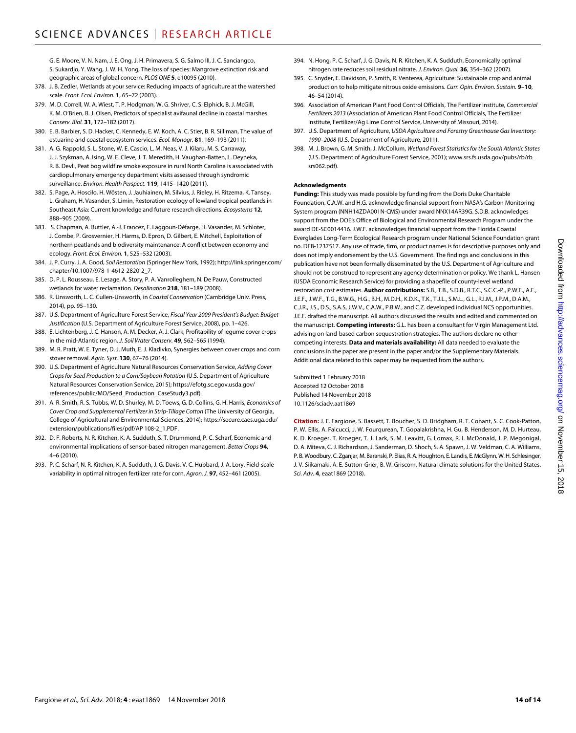G. E. Moore, V. N. Nam, J. E. Ong, J. H. Primavera, S. G. Salmo III, J. C. Sanciangco, S. Sukardjo, Y. Wang, J. W. H. Yong, The loss of species: Mangrove extinction risk and geographic areas of global concern. *PLOS ONE* **5**, e10095 (2010).

- 378. J. B. Zedler, Wetlands at your service: Reducing impacts of agriculture at the watershed scale. *Front. Ecol. Environ.* **1**, 65–72 (2003).
- 379. M. D. Correll, W. A. Wiest, T. P. Hodgman, W. G. Shriver, C. S. Elphick, B. J. McGill, K. M. O'Brien, B. J. Olsen, Predictors of specialist avifaunal decline in coastal marshes. *Conserv. Biol.* **31**, 172–182 (2017).
- 380. E. B. Barbier, S. D. Hacker, C. Kennedy, E. W. Koch, A. C. Stier, B. R. Silliman, The value of estuarine and coastal ecosystem services. *Ecol. Monogr.* **81**, 169–193 (2011).
- 381. A. G. Rappold, S. L. Stone, W. E. Cascio, L. M. Neas, V. J. Kilaru, M. S. Carraway, J. J. Szykman, A. Ising, W. E. Cleve, J. T. Meredith, H. Vaughan-Batten, L. Deyneka, R. B. Devli, Peat bog wildfire smoke exposure in rural North Carolina is associated with cardiopulmonary emergency department visits assessed through syndromic surveillance. *Environ. Health Perspect.* **119**, 1415–1420 (2011).
- 382. S. Page, A. Hosciło, H. Wösten, J. Jauhiainen, M. Silvius, J. Rieley, H. Ritzema, K. Tansey, L. Graham, H. Vasander, S. Limin, Restoration ecology of lowland tropical peatlands in Southeast Asia: Current knowledge and future research directions. *Ecosystems* **12**, 888–905 (2009).
- 383. S. Chapman, A. Buttler, A.-J. Francez, F. Laggoun-Défarge, H. Vasander, M. Schloter, J. Combe, P. Grosvernier, H. Harms, D. Epron, D. Gilbert, E. Mitchell, Exploitation of northern peatlands and biodiversity maintenance: A conflict between economy and ecology. *Front. Ecol. Environ.* **1**, 525–532 (2003).
- 384. J. P. Curry, J. A. Good, *Soil Restoration* (Springer New York, 1992); [http://link.springer.com/](http://link.springer.com/chapter/10.1007/978-1-4612-2820-2_7) [chapter/10.1007/978-1-4612-2820-2\\_7.](http://link.springer.com/chapter/10.1007/978-1-4612-2820-2_7)
- 385. D. P. L. Rousseau, E. Lesage, A. Story, P. A. Vanrolleghem, N. De Pauw, Constructed wetlands for water reclamation. *Desalination* **218**, 181–189 (2008).
- 386. R. Unsworth, L. C. Cullen-Unsworth, in *Coastal Conservation* (Cambridge Univ. Press, 2014), pp. 95–130.
- 387. U.S. Department of Agriculture Forest Service, *Fiscal Year 2009 President's Budget: Budget Justification* (U.S. Department of Agriculture Forest Service, 2008), pp. 1–426.
- 388. E. Lichtenberg, J. C. Hanson, A. M. Decker, A. J. Clark, Profitability of legume cover crops in the mid-Atlantic region. *J. Soil Water Conserv.* **49**, 562–565 (1994).
- 389. M. R. Pratt, W. E. Tyner, D. J. Muth, E. J. Kladivko, Synergies between cover crops and corn stover removal. *Agric. Syst.* **130**, 67–76 (2014).
- 390. U.S. Department of Agriculture Natural Resources Conservation Service, *Adding Cover Crops for Seed Production to a Corn/Soybean Rotation* (U.S. Department of Agriculture Natural Resources Conservation Service, 2015); [https://efotg.sc.egov.usda.gov/](https://efotg.sc.egov.usda.gov/references/public/MO/Seed_Production_CaseStudy3.pdf) [references/public/MO/Seed\\_Production\\_CaseStudy3.pdf](https://efotg.sc.egov.usda.gov/references/public/MO/Seed_Production_CaseStudy3.pdf)).
- 391. A. R. Smith, R. S. Tubbs, W. D. Shurley, M. D. Toews, G. D. Collins, G. H. Harris, *Economics of Cover Crop and Supplemental Fertilizer in Strip-Tillage Cotton* (The University of Georgia, College of Agricultural and Environmental Sciences, 2014); [https://secure.caes.uga.edu/](https://secure.caes.uga.edu/extension/publications/files/pdf/AP 108-2_1.PDF) [extension/publications/files/pdf/AP 108-2\\_1.PDF](https://secure.caes.uga.edu/extension/publications/files/pdf/AP 108-2_1.PDF).
- 392. D. F. Roberts, N. R. Kitchen, K. A. Sudduth, S. T. Drummond, P. C. Scharf, Economic and environmental implications of sensor-based nitrogen management. *Better Crops* **94**, 4–6 (2010).
- 393. P. C. Scharf, N. R. Kitchen, K. A. Sudduth, J. G. Davis, V. C. Hubbard, J. A. Lory, Field-scale variability in optimal nitrogen fertilizer rate for corn. *Agron. J.* **97**, 452–461 (2005).
- 394. N. Hong, P. C. Scharf, J. G. Davis, N. R. Kitchen, K. A. Sudduth, Economically optimal nitrogen rate reduces soil residual nitrate. *J. Environ. Qual.* **36**, 354–362 (2007).
- 395. C. Snyder, E. Davidson, P. Smith, R. Venterea, Agriculture: Sustainable crop and animal production to help mitigate nitrous oxide emissions. *Curr. Opin. Environ. Sustain.* **9–10**, 46–54 (2014).
- 396. Association of American Plant Food Control Officials, The Fertilizer Institute, *Commercial Fertilizers 2013* (Association of American Plant Food Control Officials, The Fertilizer Institute, Fertilizer/Ag Lime Control Service, University of Missouri, 2014).
- 397. U.S. Department of Agriculture, *USDA Agriculture and Forestry Greenhouse Gas Inventory: 1990–2008* (U.S. Department of Agriculture, 2011).
- 398. M. J. Brown, G. M. Smith, J. McCollum, *Wetland Forest Statistics for the South Atlantic States* (U.S. Department of Agriculture Forest Service, 2001); [www.srs.fs.usda.gov/pubs/rb/rb\\_](http://www.srs.fs.usda.gov/pubs/rb/rb_srs062.pdf) [srs062.pdf\)](http://www.srs.fs.usda.gov/pubs/rb/rb_srs062.pdf).

#### **Acknowledgments**

**Funding:** This study was made possible by funding from the Doris Duke Charitable Foundation. C.A.W. and H.G. acknowledge financial support from NASA's Carbon Monitoring System program (NNH14ZDA001N-CMS) under award NNX14AR39G. S.D.B. acknowledges support from the DOE's Office of Biological and Environmental Research Program under the award DE-SC0014416. J.W.F. acknowledges financial support from the Florida Coastal Everglades Long-Term Ecological Research program under National Science Foundation grant no. DEB-1237517. Any use of trade, firm, or product names is for descriptive purposes only and does not imply endorsement by the U.S. Government. The findings and conclusions in this publication have not been formally disseminated by the U.S. Department of Agriculture and should not be construed to represent any agency determination or policy. We thank L. Hansen (USDA Economic Research Service) for providing a shapefile of county-level wetland restoration cost estimates. **Author contributions:** S.B., T.B., S.D.B., R.T.C., S.C.C.-P., P.W.E., A.F., J.E.F., J.W.F., T.G., B.W.G., H.G., B.H., M.D.H., K.D.K., T.K., T.J.L., S.M.L., G.L., R.I.M., J.P.M., D.A.M., C.J.R., J.S., D.S., S.A.S, J.W.V., C.A.W., P.B.W., and C.Z. developed individual NCS opportunities. J.E.F. drafted the manuscript. All authors discussed the results and edited and commented on the manuscript. **Competing interests:** G.L. has been a consultant for Virgin Management Ltd. advising on land-based carbon sequestration strategies. The authors declare no other competing interests. **Data and materials availability:** All data needed to evaluate the conclusions in the paper are present in the paper and/or the Supplementary Materials. Additional data related to this paper may be requested from the authors.

Submitted 1 February 2018 Accepted 12 October 2018 Published 14 November 2018 10.1126/sciadv.aat1869

**Citation:** J. E. Fargione, S. Bassett, T. Boucher, S. D. Bridgham, R. T. Conant, S. C. Cook-Patton, P. W. Ellis, A. Falcucci, J. W. Fourqurean, T. Gopalakrishna, H. Gu, B. Henderson, M. D. Hurteau, K. D. Kroeger, T. Kroeger, T. J. Lark, S. M. Leavitt, G. Lomax, R. I. McDonald, J. P. Megonigal, D. A. Miteva, C. J. Richardson, J. Sanderman, D. Shoch, S. A. Spawn, J. W. Veldman, C. A. Williams, P.B. Woodbury, C.Zganjar, M.Baranski, P. Elias, R.A. Houghton, E. Landis, E. McGlynn, W.H. Schlesinger, J. V. Siikamaki, A. E. Sutton-Grier, B. W. Griscom, Natural climate solutions for the United States. *Sci. Adv.* **4**, eaat1869 (2018).